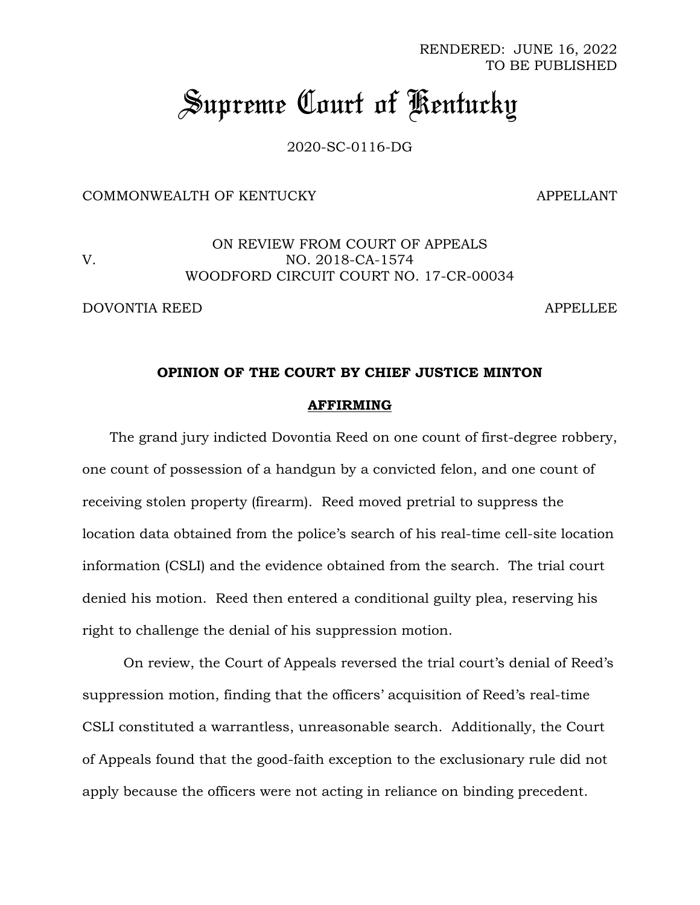RENDERED: JUNE 16, 2022 TO BE PUBLISHED

# *Supreme Court of Kentucky*

2020-SC-0116-DG

## COMMONWEALTH OF KENTUCKY APPELLANT

ON REVIEW FROM COURT OF APPEALS V. NO. 2018-CA-1574 WOODFORD CIRCUIT COURT NO. 17-CR-00034

DOVONTIA REED APPELLEE

#### **OPINION OF THE COURT BY CHIEF JUSTICE MINTON**

#### **AFFIRMING**

The grand jury indicted Dovontia Reed on one count of first-degree robbery, one count of possession of a handgun by a convicted felon, and one count of receiving stolen property (firearm). Reed moved pretrial to suppress the location data obtained from the police's search of his real-time cell-site location information (CSLI) and the evidence obtained from the search. The trial court denied his motion. Reed then entered a conditional guilty plea, reserving his right to challenge the denial of his suppression motion.

On review, the Court of Appeals reversed the trial court's denial of Reed's suppression motion, finding that the officers' acquisition of Reed's real-time CSLI constituted a warrantless, unreasonable search. Additionally, the Court of Appeals found that the good-faith exception to the exclusionary rule did not apply because the officers were not acting in reliance on binding precedent.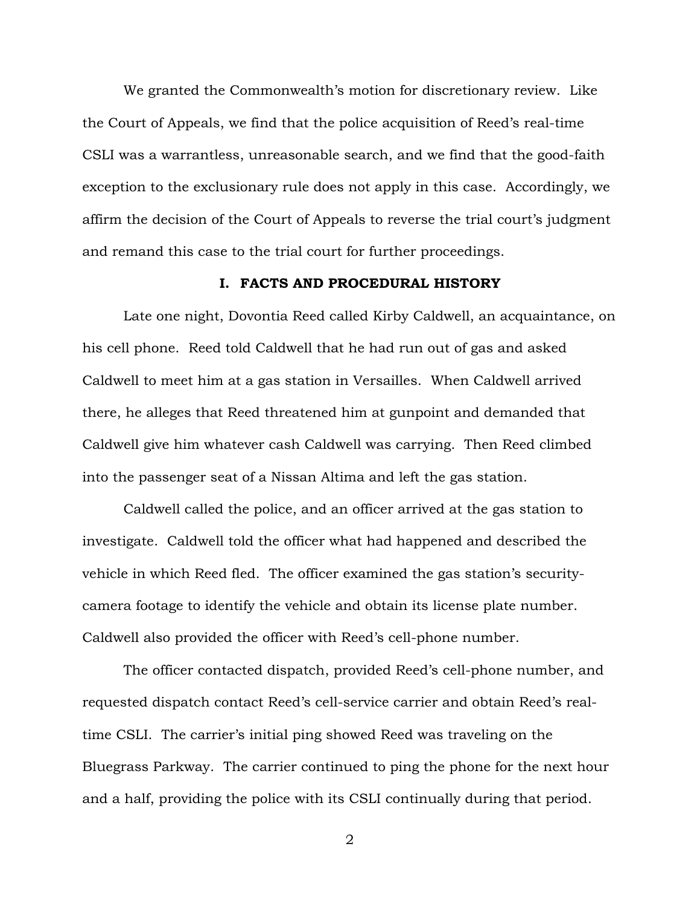We granted the Commonwealth's motion for discretionary review. Like the Court of Appeals, we find that the police acquisition of Reed's real-time CSLI was a warrantless, unreasonable search, and we find that the good-faith exception to the exclusionary rule does not apply in this case. Accordingly, we affirm the decision of the Court of Appeals to reverse the trial court's judgment and remand this case to the trial court for further proceedings.

#### **I. FACTS AND PROCEDURAL HISTORY**

Late one night, Dovontia Reed called Kirby Caldwell, an acquaintance, on his cell phone. Reed told Caldwell that he had run out of gas and asked Caldwell to meet him at a gas station in Versailles. When Caldwell arrived there, he alleges that Reed threatened him at gunpoint and demanded that Caldwell give him whatever cash Caldwell was carrying. Then Reed climbed into the passenger seat of a Nissan Altima and left the gas station.

Caldwell called the police, and an officer arrived at the gas station to investigate. Caldwell told the officer what had happened and described the vehicle in which Reed fled. The officer examined the gas station's securitycamera footage to identify the vehicle and obtain its license plate number. Caldwell also provided the officer with Reed's cell-phone number.

The officer contacted dispatch, provided Reed's cell-phone number, and requested dispatch contact Reed's cell-service carrier and obtain Reed's realtime CSLI. The carrier's initial ping showed Reed was traveling on the Bluegrass Parkway. The carrier continued to ping the phone for the next hour and a half, providing the police with its CSLI continually during that period.

2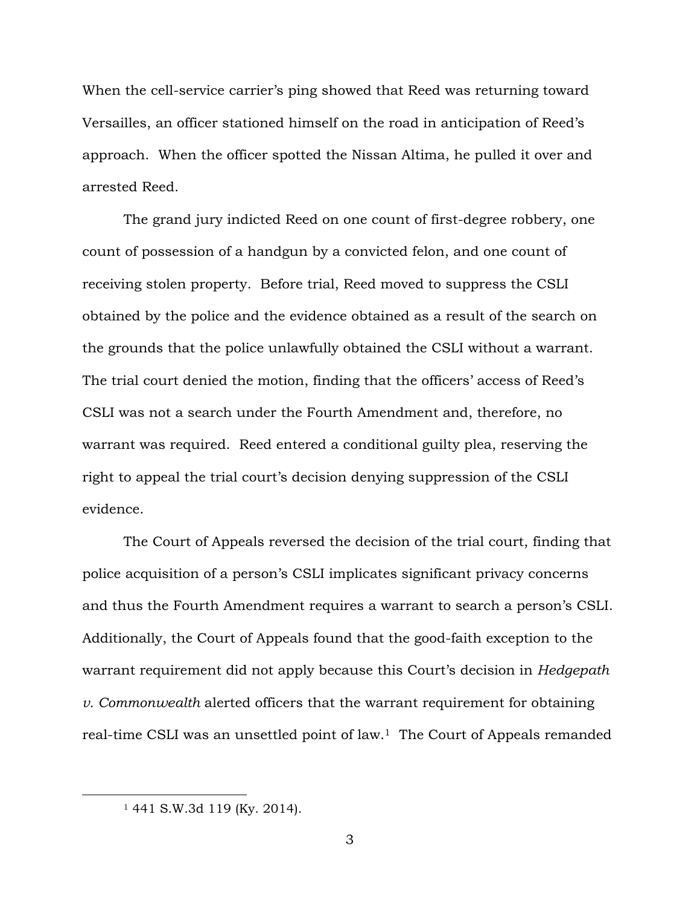When the cell-service carrier's ping showed that Reed was returning toward Versailles, an officer stationed himself on the road in anticipation of Reed's approach. When the officer spotted the Nissan Altima, he pulled it over and arrested Reed.

The grand jury indicted Reed on one count of first-degree robbery, one count of possession of a handgun by a convicted felon, and one count of receiving stolen property. Before trial, Reed moved to suppress the CSLI obtained by the police and the evidence obtained as a result of the search on the grounds that the police unlawfully obtained the CSLI without a warrant. The trial court denied the motion, finding that the officers' access of Reed's CSLI was not a search under the Fourth Amendment and, therefore, no warrant was required. Reed entered a conditional guilty plea, reserving the right to appeal the trial court's decision denying suppression of the CSLI evidence.

The Court of Appeals reversed the decision of the trial court, finding that police acquisition of a person's CSLI implicates significant privacy concerns and thus the Fourth Amendment requires a warrant to search a person's CSLI. Additionally, the Court of Appeals found that the good-faith exception to the warrant requirement did not apply because this Court's decision in *Hedgepath v. Commonwealth* alerted officers that the warrant requirement for obtaining real-time CSLI was an unsettled point of law.<sup>1</sup> The Court of Appeals remanded

<sup>1</sup> 441 S.W.3d 119 (Ky. 2014).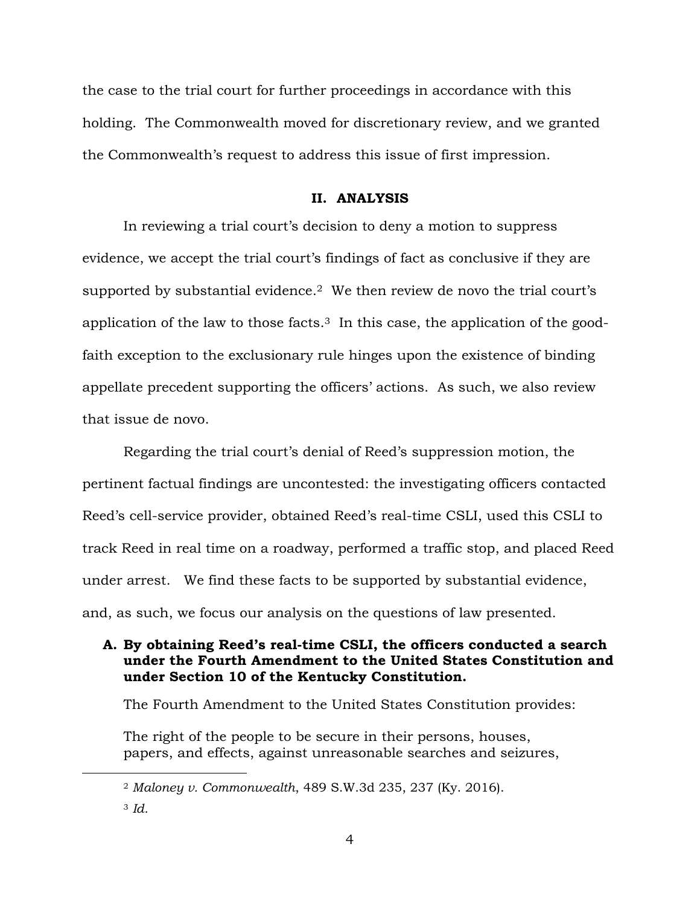the case to the trial court for further proceedings in accordance with this holding. The Commonwealth moved for discretionary review, and we granted the Commonwealth's request to address this issue of first impression.

#### **II. ANALYSIS**

In reviewing a trial court's decision to deny a motion to suppress evidence, we accept the trial court's findings of fact as conclusive if they are supported by substantial evidence.<sup>2</sup> We then review de novo the trial court's application of the law to those facts. <sup>3</sup> In this case, the application of the goodfaith exception to the exclusionary rule hinges upon the existence of binding appellate precedent supporting the officers' actions. As such, we also review that issue de novo.

Regarding the trial court's denial of Reed's suppression motion, the pertinent factual findings are uncontested: the investigating officers contacted Reed's cell-service provider, obtained Reed's real-time CSLI, used this CSLI to track Reed in real time on a roadway, performed a traffic stop, and placed Reed under arrest. We find these facts to be supported by substantial evidence, and, as such, we focus our analysis on the questions of law presented.

## **A. By obtaining Reed's real-time CSLI, the officers conducted a search under the Fourth Amendment to the United States Constitution and under Section 10 of the Kentucky Constitution.**

The Fourth Amendment to the United States Constitution provides:

The right of the people to be secure in their persons, houses, papers, and effects, against unreasonable searches and seizures,

<sup>2</sup> *Maloney v. Commonwealth*, 489 S.W.3d 235, 237 (Ky. 2016).

<sup>3</sup> *Id*.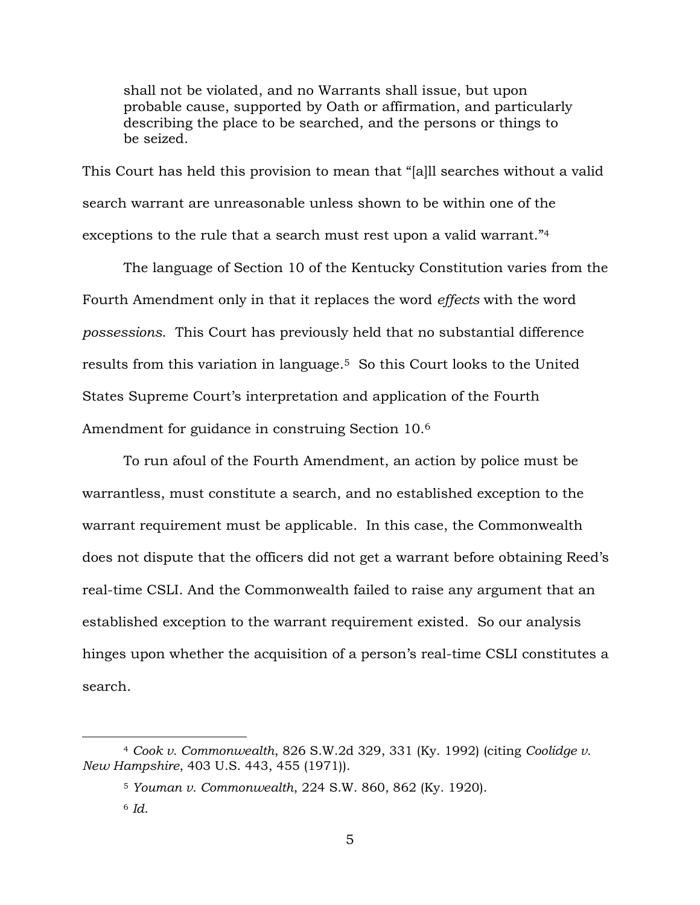shall not be violated, and no Warrants shall issue, but upon probable cause, supported by Oath or affirmation, and particularly describing the place to be searched, and the persons or things to be seized.

This Court has held this provision to mean that "[a]ll searches without a valid search warrant are unreasonable unless shown to be within one of the exceptions to the rule that a search must rest upon a valid warrant."<sup>4</sup>

The language of Section 10 of the Kentucky Constitution varies from the Fourth Amendment only in that it replaces the word *effects* with the word *possessions*. This Court has previously held that no substantial difference results from this variation in language.5 So this Court looks to the United States Supreme Court's interpretation and application of the Fourth Amendment for guidance in construing Section 10.<sup>6</sup>

To run afoul of the Fourth Amendment, an action by police must be warrantless, must constitute a search, and no established exception to the warrant requirement must be applicable. In this case, the Commonwealth does not dispute that the officers did not get a warrant before obtaining Reed's real-time CSLI. And the Commonwealth failed to raise any argument that an established exception to the warrant requirement existed. So our analysis hinges upon whether the acquisition of a person's real-time CSLI constitutes a search.

<sup>4</sup> *Cook v. Commonwealth*, 826 S.W.2d 329, 331 (Ky. 1992) (citing *Coolidge v. New Hampshire*, 403 U.S. 443, 455 (1971)).

<sup>5</sup> *Youman v. Commonwealth*, 224 S.W. 860, 862 (Ky. 1920).

<sup>6</sup> *Id*.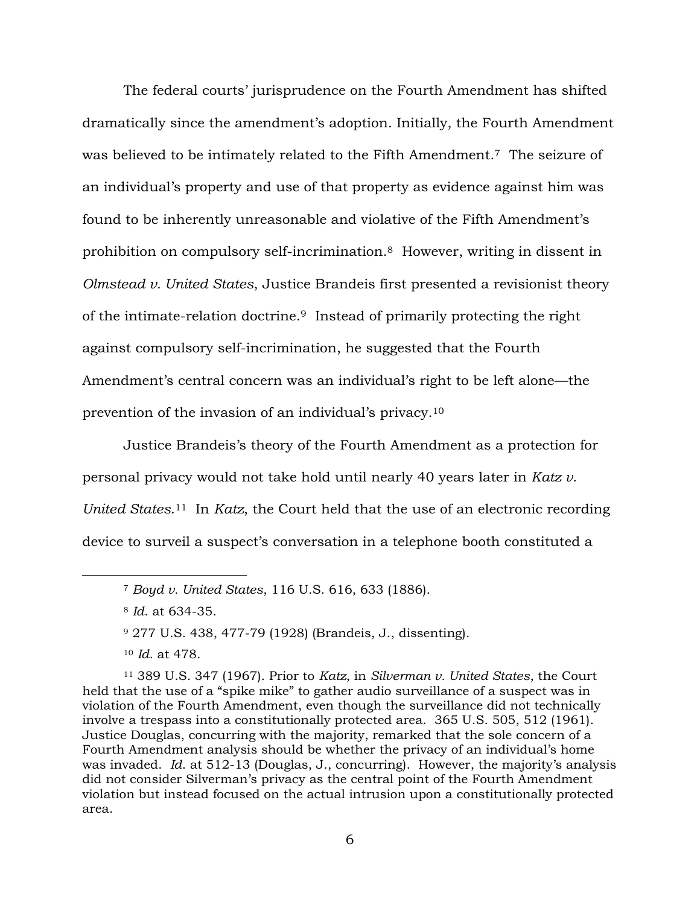The federal courts' jurisprudence on the Fourth Amendment has shifted dramatically since the amendment's adoption. Initially, the Fourth Amendment was believed to be intimately related to the Fifth Amendment.7 The seizure of an individual's property and use of that property as evidence against him was found to be inherently unreasonable and violative of the Fifth Amendment's prohibition on compulsory self-incrimination. <sup>8</sup> However, writing in dissent in *Olmstead v. United States*, Justice Brandeis first presented a revisionist theory of the intimate-relation doctrine.9 Instead of primarily protecting the right against compulsory self-incrimination, he suggested that the Fourth Amendment's central concern was an individual's right to be left alone—the prevention of the invasion of an individual's privacy.<sup>10</sup>

Justice Brandeis's theory of the Fourth Amendment as a protection for personal privacy would not take hold until nearly 40 years later in *Katz v. United States*. <sup>11</sup> In *Katz*, the Court held that the use of an electronic recording device to surveil a suspect's conversation in a telephone booth constituted a

<sup>11</sup> 389 U.S. 347 (1967). Prior to *Katz*, in *Silverman v. United States*, the Court held that the use of a "spike mike" to gather audio surveillance of a suspect was in violation of the Fourth Amendment, even though the surveillance did not technically involve a trespass into a constitutionally protected area. 365 U.S. 505, 512 (1961). Justice Douglas, concurring with the majority, remarked that the sole concern of a Fourth Amendment analysis should be whether the privacy of an individual's home was invaded. *Id*. at 512-13 (Douglas, J., concurring). However, the majority's analysis did not consider Silverman's privacy as the central point of the Fourth Amendment violation but instead focused on the actual intrusion upon a constitutionally protected area.

<sup>7</sup> *Boyd v. United States*, 116 U.S. 616, 633 (1886).

<sup>8</sup> *Id*. at 634-35.

<sup>9</sup> 277 U.S. 438, 477-79 (1928) (Brandeis, J., dissenting).

<sup>10</sup> *Id*. at 478.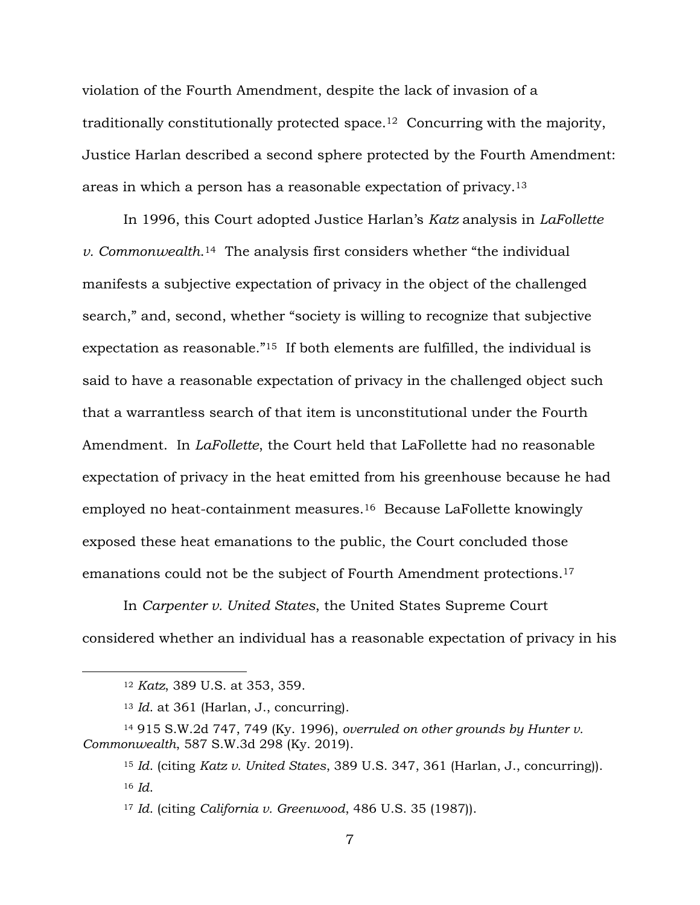violation of the Fourth Amendment, despite the lack of invasion of a traditionally constitutionally protected space.12 Concurring with the majority, Justice Harlan described a second sphere protected by the Fourth Amendment: areas in which a person has a reasonable expectation of privacy.<sup>13</sup>

In 1996, this Court adopted Justice Harlan's *Katz* analysis in *LaFollette v. Commonwealth*. <sup>14</sup> The analysis first considers whether "the individual manifests a subjective expectation of privacy in the object of the challenged search," and, second, whether "society is willing to recognize that subjective expectation as reasonable."<sup>15</sup> If both elements are fulfilled, the individual is said to have a reasonable expectation of privacy in the challenged object such that a warrantless search of that item is unconstitutional under the Fourth Amendment. In *LaFollette*, the Court held that LaFollette had no reasonable expectation of privacy in the heat emitted from his greenhouse because he had employed no heat-containment measures.16 Because LaFollette knowingly exposed these heat emanations to the public, the Court concluded those emanations could not be the subject of Fourth Amendment protections.<sup>17</sup>

In *Carpenter v. United States*, the United States Supreme Court considered whether an individual has a reasonable expectation of privacy in his

<sup>12</sup> *Katz*, 389 U.S. at 353, 359.

<sup>13</sup> *Id*. at 361 (Harlan, J., concurring).

<sup>14</sup> 915 S.W.2d 747, 749 (Ky. 1996), *overruled on other grounds by Hunter v. Commonwealth*, 587 S.W.3d 298 (Ky. 2019).

<sup>15</sup> *Id*. (citing *Katz v. United States*, 389 U.S. 347, 361 (Harlan, J., concurring)). <sup>16</sup> *Id*.

<sup>17</sup> *Id*. (citing *California v. Greenwood*, 486 U.S. 35 (1987)).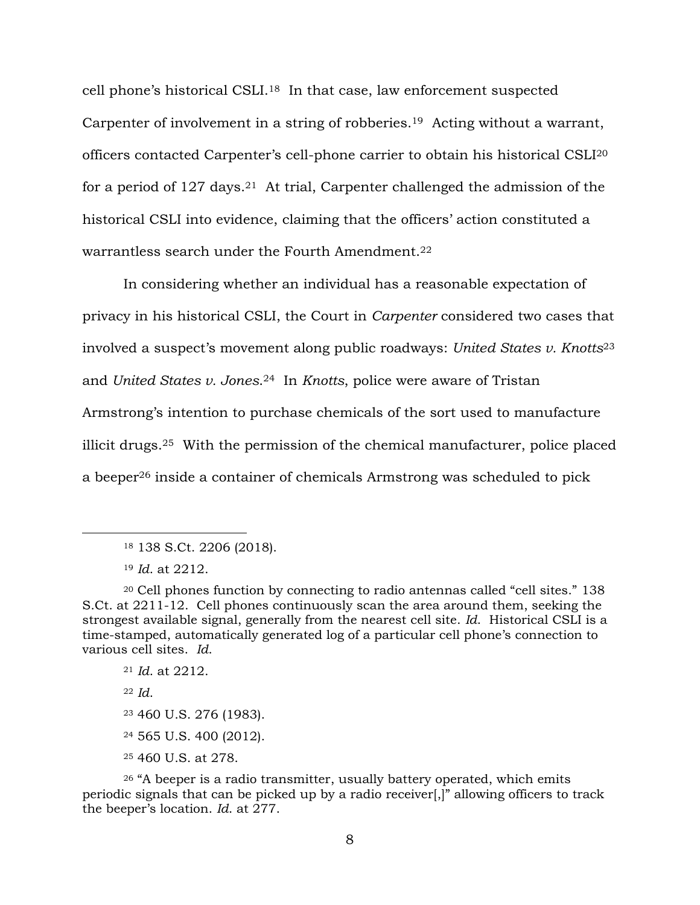cell phone's historical CSLI.18 In that case, law enforcement suspected Carpenter of involvement in a string of robberies.19 Acting without a warrant, officers contacted Carpenter's cell-phone carrier to obtain his historical CSLI<sup>20</sup> for a period of 127 days.<sup>21</sup> At trial, Carpenter challenged the admission of the historical CSLI into evidence, claiming that the officers' action constituted a warrantless search under the Fourth Amendment.<sup>22</sup>

In considering whether an individual has a reasonable expectation of privacy in his historical CSLI, the Court in *Carpenter* considered two cases that involved a suspect's movement along public roadways: *United States v. Knotts*<sup>23</sup> and *United States v. Jones*. <sup>24</sup> In *Knotts*, police were aware of Tristan Armstrong's intention to purchase chemicals of the sort used to manufacture illicit drugs.25 With the permission of the chemical manufacturer, police placed a beeper<sup>26</sup> inside a container of chemicals Armstrong was scheduled to pick

 *Id*. at 2212. <sup>22</sup> *Id*. 460 U.S. 276 (1983). 565 U.S. 400 (2012). 460 U.S. at 278.

<sup>26</sup> "A beeper is a radio transmitter, usually battery operated, which emits periodic signals that can be picked up by a radio receiver[,]" allowing officers to track the beeper's location. *Id*. at 277.

<sup>18</sup> 138 S.Ct. 2206 (2018).

<sup>19</sup> *Id*. at 2212.

<sup>20</sup> Cell phones function by connecting to radio antennas called "cell sites." 138 S.Ct. at 2211-12. Cell phones continuously scan the area around them, seeking the strongest available signal, generally from the nearest cell site. *Id*. Historical CSLI is a time-stamped, automatically generated log of a particular cell phone's connection to various cell sites. *Id*.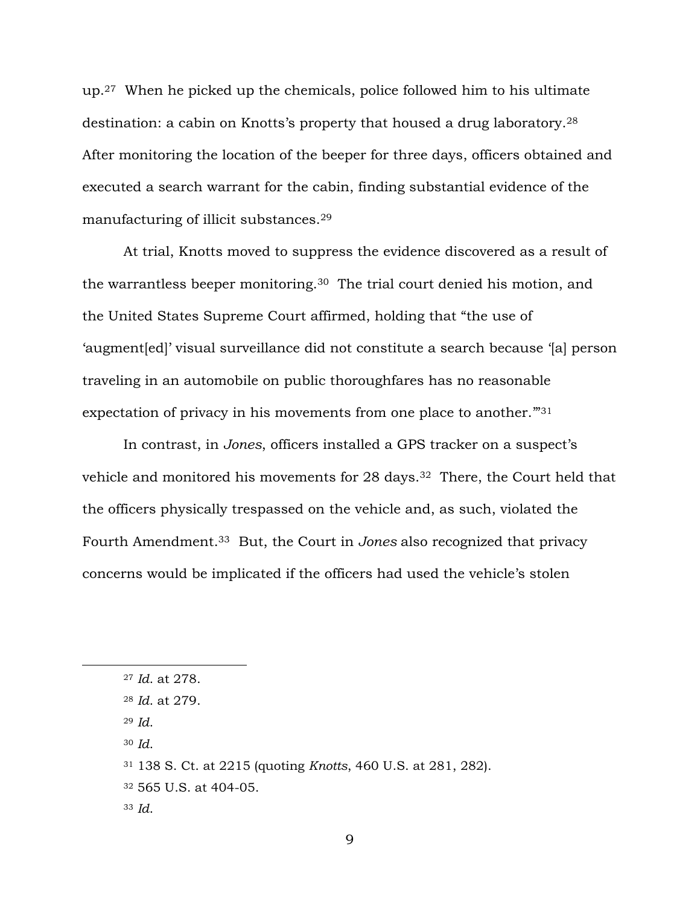up.27 When he picked up the chemicals, police followed him to his ultimate destination: a cabin on Knotts's property that housed a drug laboratory.<sup>28</sup> After monitoring the location of the beeper for three days, officers obtained and executed a search warrant for the cabin, finding substantial evidence of the manufacturing of illicit substances.<sup>29</sup>

At trial, Knotts moved to suppress the evidence discovered as a result of the warrantless beeper monitoring.30 The trial court denied his motion, and the United States Supreme Court affirmed, holding that "the use of 'augment[ed]' visual surveillance did not constitute a search because '[a] person traveling in an automobile on public thoroughfares has no reasonable expectation of privacy in his movements from one place to another.<sup>"31</sup>

In contrast, in *Jones*, officers installed a GPS tracker on a suspect's vehicle and monitored his movements for 28 days.<sup>32</sup> There, the Court held that the officers physically trespassed on the vehicle and, as such, violated the Fourth Amendment.33 But, the Court in *Jones* also recognized that privacy concerns would be implicated if the officers had used the vehicle's stolen

- <sup>29</sup> *Id*.
- <sup>30</sup> *Id*.

<sup>33</sup> *Id*.

<sup>27</sup> *Id*. at 278.

<sup>28</sup> *Id*. at 279.

<sup>31</sup> 138 S. Ct. at 2215 (quoting *Knotts*, 460 U.S. at 281, 282).

<sup>32</sup> 565 U.S. at 404-05.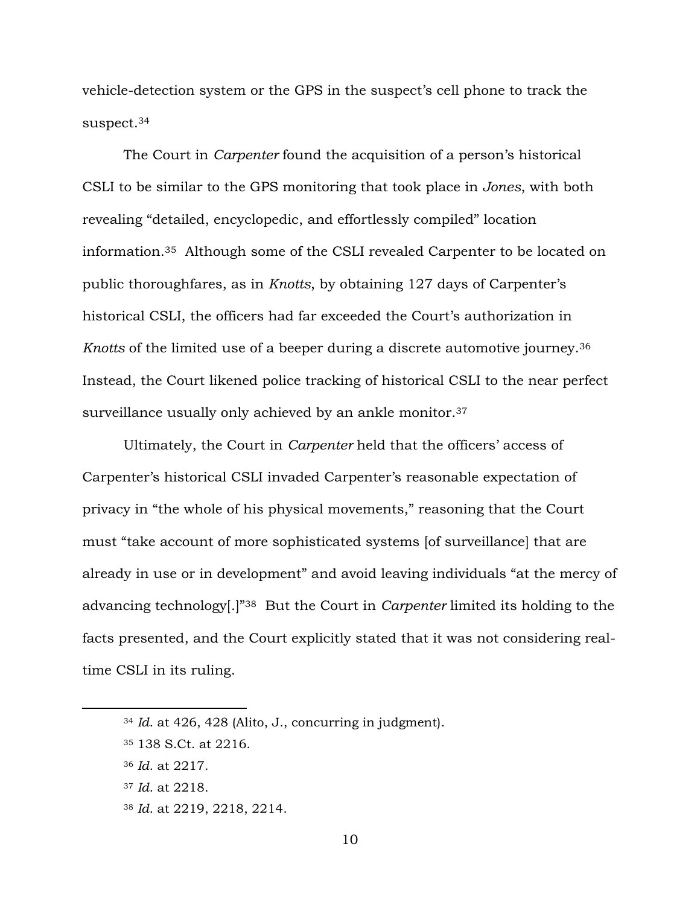vehicle-detection system or the GPS in the suspect's cell phone to track the suspect.<sup>34</sup>

The Court in *Carpenter* found the acquisition of a person's historical CSLI to be similar to the GPS monitoring that took place in *Jones*, with both revealing "detailed, encyclopedic, and effortlessly compiled" location information.35 Although some of the CSLI revealed Carpenter to be located on public thoroughfares, as in *Knotts*, by obtaining 127 days of Carpenter's historical CSLI, the officers had far exceeded the Court's authorization in *Knotts* of the limited use of a beeper during a discrete automotive journey.<sup>36</sup> Instead, the Court likened police tracking of historical CSLI to the near perfect surveillance usually only achieved by an ankle monitor.<sup>37</sup>

Ultimately, the Court in *Carpenter* held that the officers' access of Carpenter's historical CSLI invaded Carpenter's reasonable expectation of privacy in "the whole of his physical movements," reasoning that the Court must "take account of more sophisticated systems [of surveillance] that are already in use or in development" and avoid leaving individuals "at the mercy of advancing technology[.]"38 But the Court in *Carpenter* limited its holding to the facts presented, and the Court explicitly stated that it was not considering realtime CSLI in its ruling.

<sup>34</sup> *Id*. at 426, 428 (Alito, J., concurring in judgment).

<sup>35</sup> 138 S.Ct. at 2216.

<sup>36</sup> *Id*. at 2217.

<sup>37</sup> *Id*. at 2218.

<sup>38</sup> *Id*. at 2219, 2218, 2214.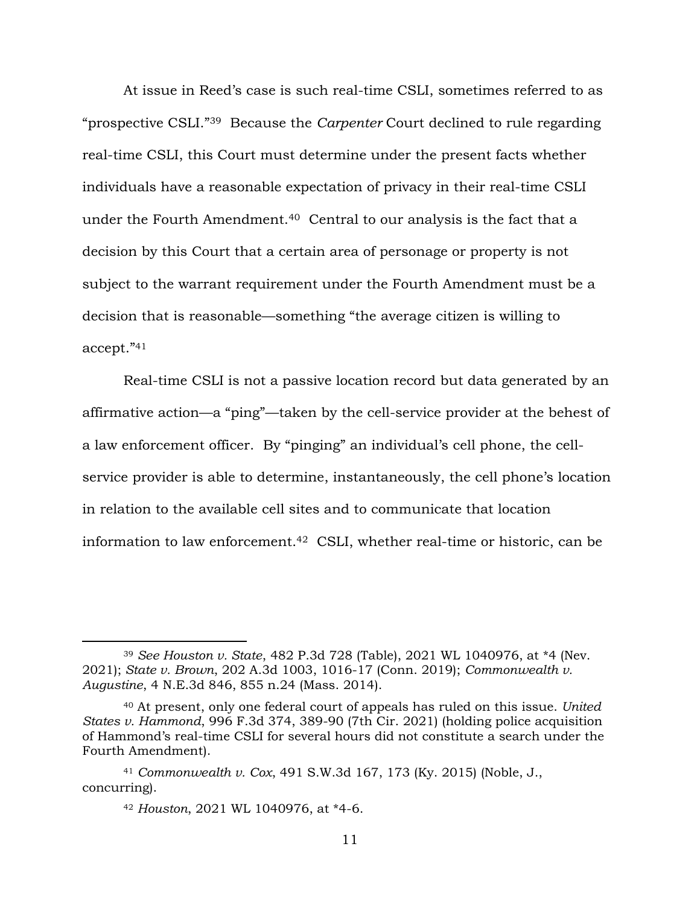At issue in Reed's case is such real-time CSLI, sometimes referred to as "prospective CSLI."39 Because the *Carpenter* Court declined to rule regarding real-time CSLI, this Court must determine under the present facts whether individuals have a reasonable expectation of privacy in their real-time CSLI under the Fourth Amendment.<sup>40</sup> Central to our analysis is the fact that a decision by this Court that a certain area of personage or property is not subject to the warrant requirement under the Fourth Amendment must be a decision that is reasonable—something "the average citizen is willing to accept."<sup>41</sup>

Real-time CSLI is not a passive location record but data generated by an affirmative action—a "ping"—taken by the cell-service provider at the behest of a law enforcement officer. By "pinging" an individual's cell phone, the cellservice provider is able to determine, instantaneously, the cell phone's location in relation to the available cell sites and to communicate that location information to law enforcement.42 CSLI, whether real-time or historic, can be

<sup>39</sup> *See Houston v. State*, 482 P.3d 728 (Table), 2021 WL 1040976, at \*4 (Nev. 2021); *State v. Brown*, 202 A.3d 1003, 1016-17 (Conn. 2019); *Commonwealth v. Augustine*, 4 N.E.3d 846, 855 n.24 (Mass. 2014).

<sup>40</sup> At present, only one federal court of appeals has ruled on this issue. *United States v. Hammond*, 996 F.3d 374, 389-90 (7th Cir. 2021) (holding police acquisition of Hammond's real-time CSLI for several hours did not constitute a search under the Fourth Amendment).

<sup>41</sup> *Commonwealth v. Cox*, 491 S.W.3d 167, 173 (Ky. 2015) (Noble, J., concurring).

<sup>42</sup> *Houston*, 2021 WL 1040976, at \*4-6.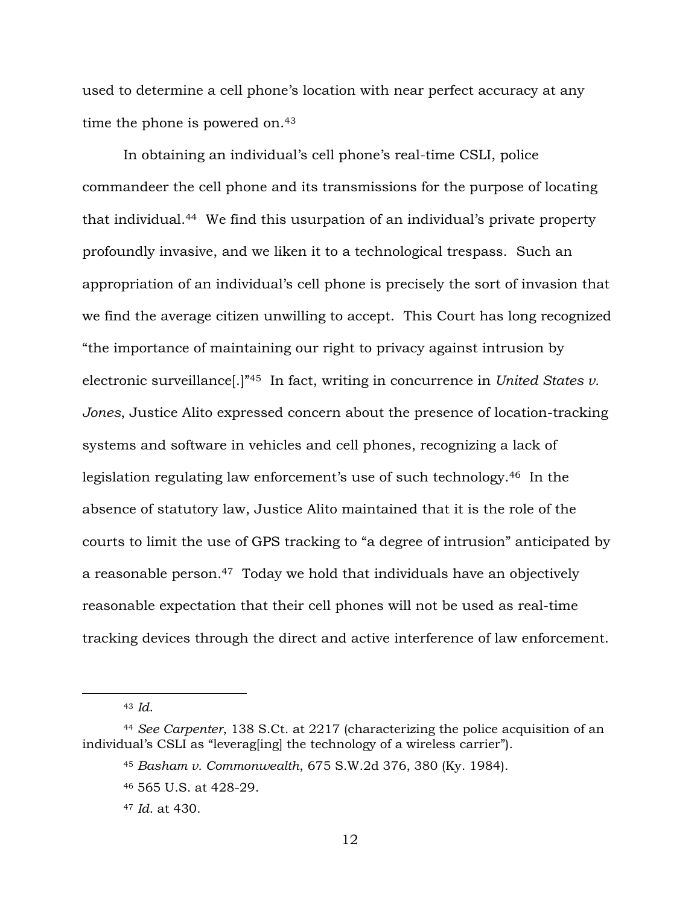used to determine a cell phone's location with near perfect accuracy at any time the phone is powered on.<sup>43</sup>

In obtaining an individual's cell phone's real-time CSLI, police commandeer the cell phone and its transmissions for the purpose of locating that individual.44 We find this usurpation of an individual's private property profoundly invasive, and we liken it to a technological trespass. Such an appropriation of an individual's cell phone is precisely the sort of invasion that we find the average citizen unwilling to accept. This Court has long recognized "the importance of maintaining our right to privacy against intrusion by electronic surveillance[.]"45 In fact, writing in concurrence in *United States v. Jones*, Justice Alito expressed concern about the presence of location-tracking systems and software in vehicles and cell phones, recognizing a lack of legislation regulating law enforcement's use of such technology. <sup>46</sup> In the absence of statutory law, Justice Alito maintained that it is the role of the courts to limit the use of GPS tracking to "a degree of intrusion" anticipated by a reasonable person.47 Today we hold that individuals have an objectively reasonable expectation that their cell phones will not be used as real-time tracking devices through the direct and active interference of law enforcement.

<sup>43</sup> *Id*.

<sup>44</sup> *See Carpenter*, 138 S.Ct. at 2217 (characterizing the police acquisition of an individual's CSLI as "leverag[ing] the technology of a wireless carrier").

<sup>45</sup> *Basham v. Commonwealth*, 675 S.W.2d 376, 380 (Ky. 1984).

<sup>46</sup> 565 U.S. at 428-29.

<sup>47</sup> *Id*. at 430.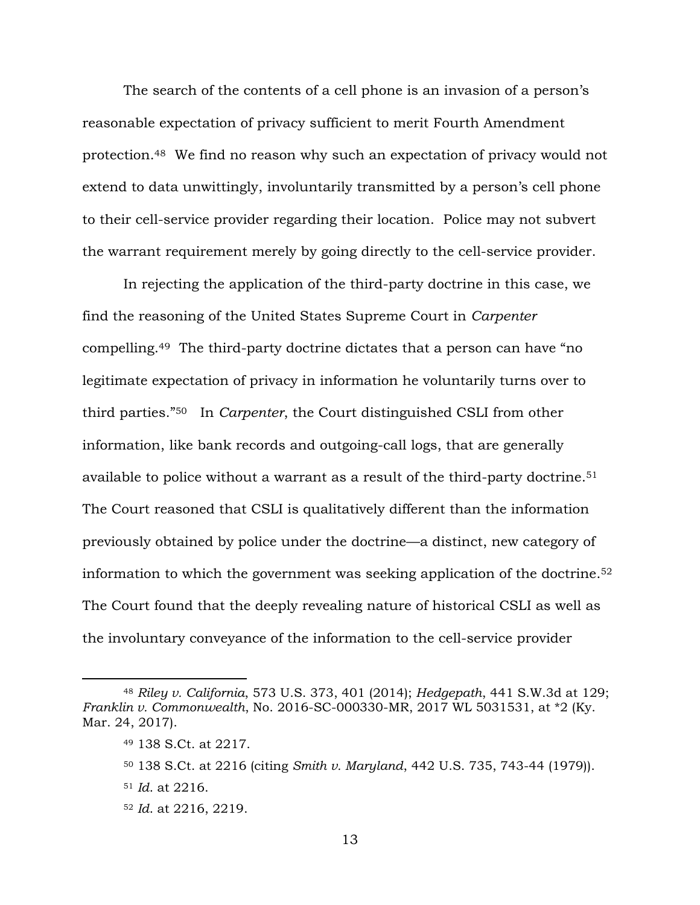The search of the contents of a cell phone is an invasion of a person's reasonable expectation of privacy sufficient to merit Fourth Amendment protection.<sup>48</sup> We find no reason why such an expectation of privacy would not extend to data unwittingly, involuntarily transmitted by a person's cell phone to their cell-service provider regarding their location. Police may not subvert the warrant requirement merely by going directly to the cell-service provider.

In rejecting the application of the third-party doctrine in this case, we find the reasoning of the United States Supreme Court in *Carpenter*  compelling.<sup>49</sup> The third-party doctrine dictates that a person can have "no legitimate expectation of privacy in information he voluntarily turns over to third parties."50 In *Carpenter*, the Court distinguished CSLI from other information, like bank records and outgoing-call logs, that are generally available to police without a warrant as a result of the third-party doctrine. <sup>51</sup> The Court reasoned that CSLI is qualitatively different than the information previously obtained by police under the doctrine—a distinct, new category of information to which the government was seeking application of the doctrine. <sup>52</sup> The Court found that the deeply revealing nature of historical CSLI as well as the involuntary conveyance of the information to the cell-service provider

<sup>48</sup> *Riley v. California*, 573 U.S. 373, 401 (2014); *Hedgepath*, 441 S.W.3d at 129; *Franklin v. Commonwealth*, No. 2016-SC-000330-MR, 2017 WL 5031531, at \*2 (Ky. Mar. 24, 2017).

<sup>49</sup> 138 S.Ct. at 2217.

<sup>50</sup> 138 S.Ct. at 2216 (citing *Smith v. Maryland*, 442 U.S. 735, 743-44 (1979)).

<sup>51</sup> *Id*. at 2216.

<sup>52</sup> *Id*. at 2216, 2219.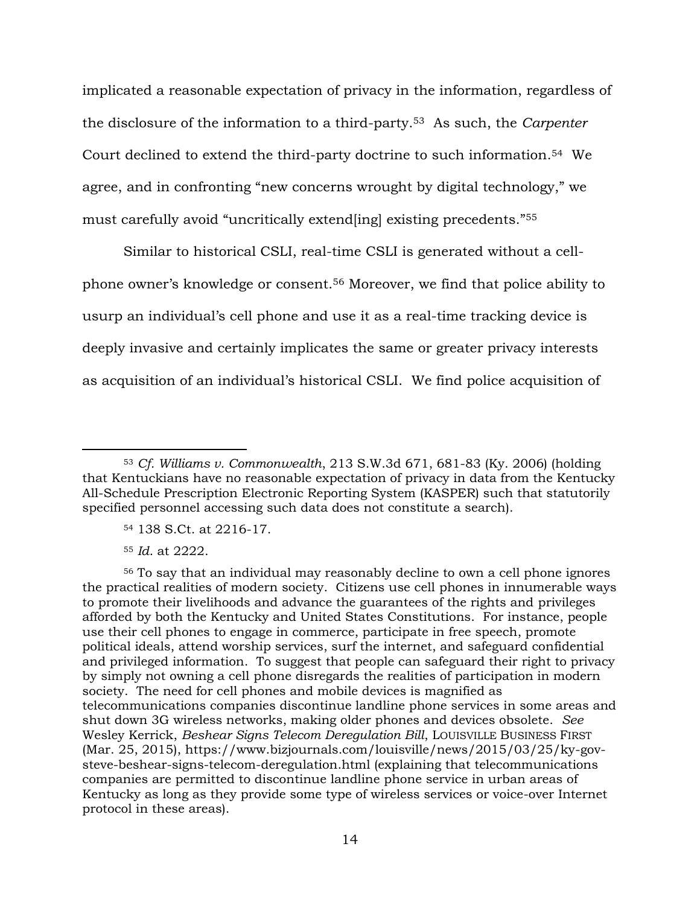implicated a reasonable expectation of privacy in the information, regardless of the disclosure of the information to a third-party.<sup>53</sup> As such, the *Carpenter* Court declined to extend the third-party doctrine to such information. <sup>54</sup> We agree, and in confronting "new concerns wrought by digital technology," we must carefully avoid "uncritically extend[ing] existing precedents."<sup>55</sup>

Similar to historical CSLI, real-time CSLI is generated without a cellphone owner's knowledge or consent.<sup>56</sup> Moreover, we find that police ability to usurp an individual's cell phone and use it as a real-time tracking device is deeply invasive and certainly implicates the same or greater privacy interests as acquisition of an individual's historical CSLI. We find police acquisition of

- <sup>54</sup> 138 S.Ct. at 2216-17.
- <sup>55</sup> *Id*. at 2222.

<sup>56</sup> To say that an individual may reasonably decline to own a cell phone ignores the practical realities of modern society. Citizens use cell phones in innumerable ways to promote their livelihoods and advance the guarantees of the rights and privileges afforded by both the Kentucky and United States Constitutions. For instance, people use their cell phones to engage in commerce, participate in free speech, promote political ideals, attend worship services, surf the internet, and safeguard confidential and privileged information. To suggest that people can safeguard their right to privacy by simply not owning a cell phone disregards the realities of participation in modern society. The need for cell phones and mobile devices is magnified as telecommunications companies discontinue landline phone services in some areas and shut down 3G wireless networks, making older phones and devices obsolete. *See* Wesley Kerrick, *Beshear Signs Telecom Deregulation Bill*, LOUISVILLE BUSINESS FIRST (Mar. 25, 2015), https://www.bizjournals.com/louisville/news/2015/03/25/ky-govsteve-beshear-signs-telecom-deregulation.html (explaining that telecommunications companies are permitted to discontinue landline phone service in urban areas of Kentucky as long as they provide some type of wireless services or voice-over Internet protocol in these areas).

<sup>53</sup> *Cf. Williams v. Commonwealth*, 213 S.W.3d 671, 681-83 (Ky. 2006) (holding that Kentuckians have no reasonable expectation of privacy in data from the Kentucky All-Schedule Prescription Electronic Reporting System (KASPER) such that statutorily specified personnel accessing such data does not constitute a search).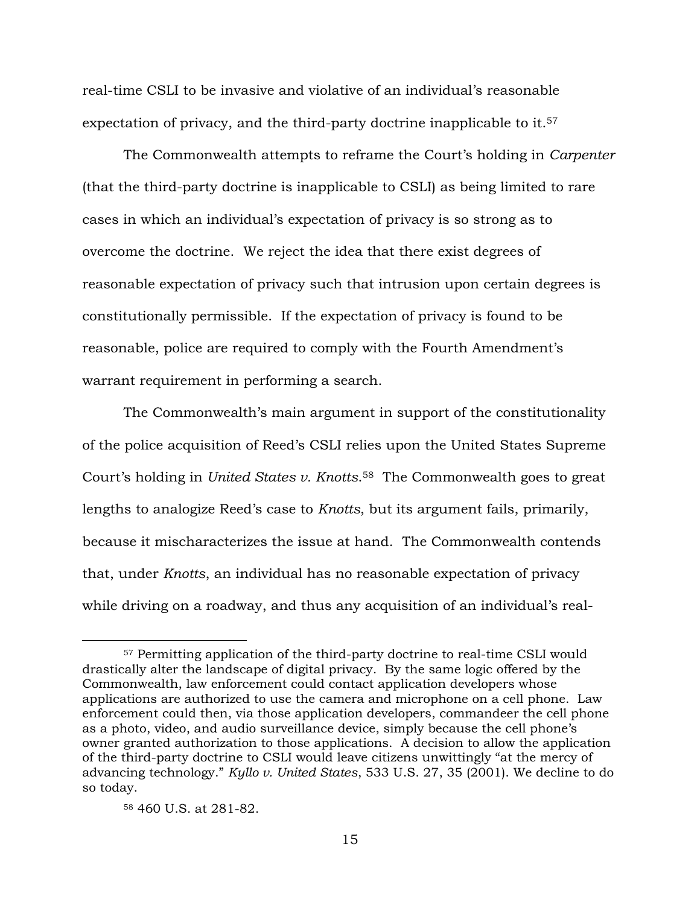real-time CSLI to be invasive and violative of an individual's reasonable expectation of privacy, and the third-party doctrine inapplicable to it.<sup>57</sup>

The Commonwealth attempts to reframe the Court's holding in *Carpenter*  (that the third-party doctrine is inapplicable to CSLI) as being limited to rare cases in which an individual's expectation of privacy is so strong as to overcome the doctrine. We reject the idea that there exist degrees of reasonable expectation of privacy such that intrusion upon certain degrees is constitutionally permissible. If the expectation of privacy is found to be reasonable, police are required to comply with the Fourth Amendment's warrant requirement in performing a search.

The Commonwealth's main argument in support of the constitutionality of the police acquisition of Reed's CSLI relies upon the United States Supreme Court's holding in *United States v. Knotts*. <sup>58</sup> The Commonwealth goes to great lengths to analogize Reed's case to *Knotts*, but its argument fails, primarily, because it mischaracterizes the issue at hand. The Commonwealth contends that, under *Knotts*, an individual has no reasonable expectation of privacy while driving on a roadway, and thus any acquisition of an individual's real-

<sup>57</sup> Permitting application of the third-party doctrine to real-time CSLI would drastically alter the landscape of digital privacy. By the same logic offered by the Commonwealth, law enforcement could contact application developers whose applications are authorized to use the camera and microphone on a cell phone. Law enforcement could then, via those application developers, commandeer the cell phone as a photo, video, and audio surveillance device, simply because the cell phone's owner granted authorization to those applications. A decision to allow the application of the third-party doctrine to CSLI would leave citizens unwittingly "at the mercy of advancing technology." *Kyllo v. United States*, 533 U.S. 27, 35 (2001). We decline to do so today.

<sup>58</sup> 460 U.S. at 281-82.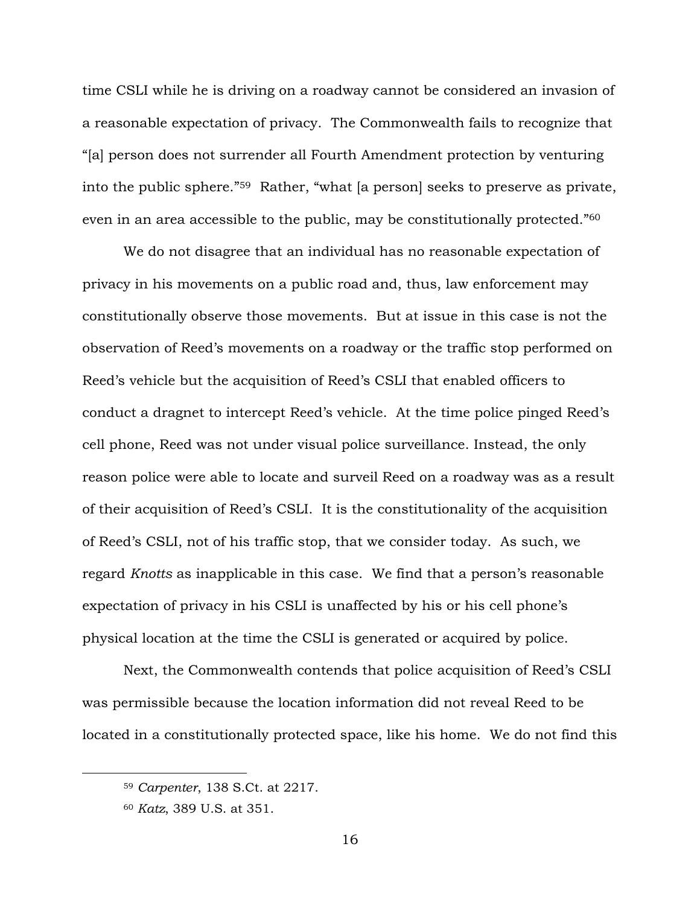time CSLI while he is driving on a roadway cannot be considered an invasion of a reasonable expectation of privacy. The Commonwealth fails to recognize that "[a] person does not surrender all Fourth Amendment protection by venturing into the public sphere." <sup>59</sup> Rather, "what [a person] seeks to preserve as private, even in an area accessible to the public, may be constitutionally protected."<sup>60</sup>

We do not disagree that an individual has no reasonable expectation of privacy in his movements on a public road and, thus, law enforcement may constitutionally observe those movements. But at issue in this case is not the observation of Reed's movements on a roadway or the traffic stop performed on Reed's vehicle but the acquisition of Reed's CSLI that enabled officers to conduct a dragnet to intercept Reed's vehicle. At the time police pinged Reed's cell phone, Reed was not under visual police surveillance. Instead, the only reason police were able to locate and surveil Reed on a roadway was as a result of their acquisition of Reed's CSLI. It is the constitutionality of the acquisition of Reed's CSLI, not of his traffic stop, that we consider today. As such, we regard *Knotts* as inapplicable in this case. We find that a person's reasonable expectation of privacy in his CSLI is unaffected by his or his cell phone's physical location at the time the CSLI is generated or acquired by police.

Next, the Commonwealth contends that police acquisition of Reed's CSLI was permissible because the location information did not reveal Reed to be located in a constitutionally protected space, like his home. We do not find this

<sup>59</sup> *Carpenter*, 138 S.Ct. at 2217.

<sup>60</sup> *Katz*, 389 U.S. at 351.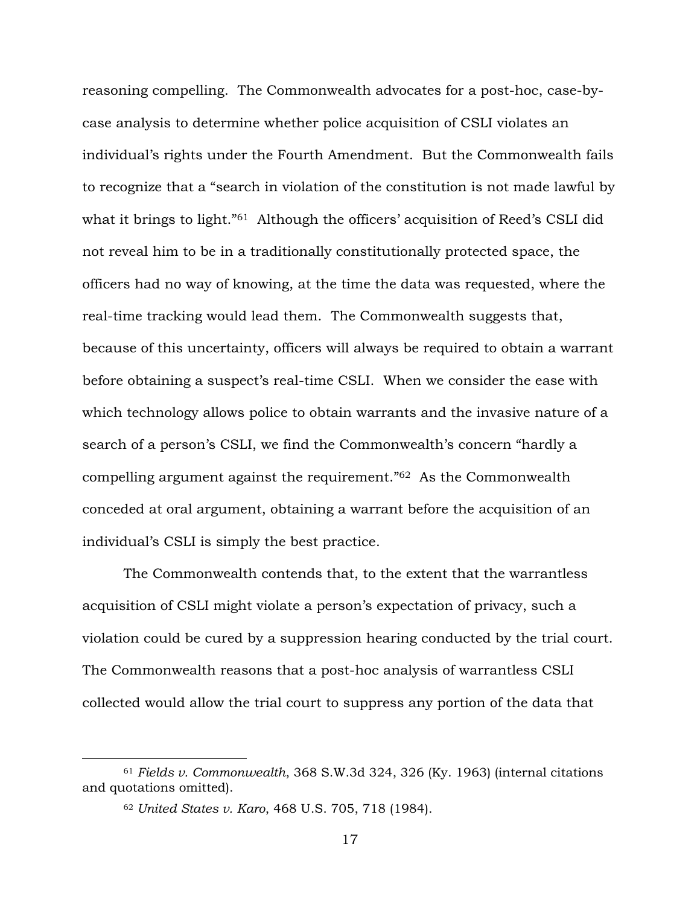reasoning compelling. The Commonwealth advocates for a post-hoc, case-bycase analysis to determine whether police acquisition of CSLI violates an individual's rights under the Fourth Amendment. But the Commonwealth fails to recognize that a "search in violation of the constitution is not made lawful by what it brings to light."<sup>61</sup> Although the officers' acquisition of Reed's CSLI did not reveal him to be in a traditionally constitutionally protected space, the officers had no way of knowing, at the time the data was requested, where the real-time tracking would lead them. The Commonwealth suggests that, because of this uncertainty, officers will always be required to obtain a warrant before obtaining a suspect's real-time CSLI. When we consider the ease with which technology allows police to obtain warrants and the invasive nature of a search of a person's CSLI, we find the Commonwealth's concern "hardly a compelling argument against the requirement."62 As the Commonwealth conceded at oral argument, obtaining a warrant before the acquisition of an individual's CSLI is simply the best practice.

The Commonwealth contends that, to the extent that the warrantless acquisition of CSLI might violate a person's expectation of privacy, such a violation could be cured by a suppression hearing conducted by the trial court. The Commonwealth reasons that a post-hoc analysis of warrantless CSLI collected would allow the trial court to suppress any portion of the data that

<sup>61</sup> *Fields v. Commonwealth*, 368 S.W.3d 324, 326 (Ky. 1963) (internal citations and quotations omitted).

<sup>62</sup> *United States v. Karo*, 468 U.S. 705, 718 (1984).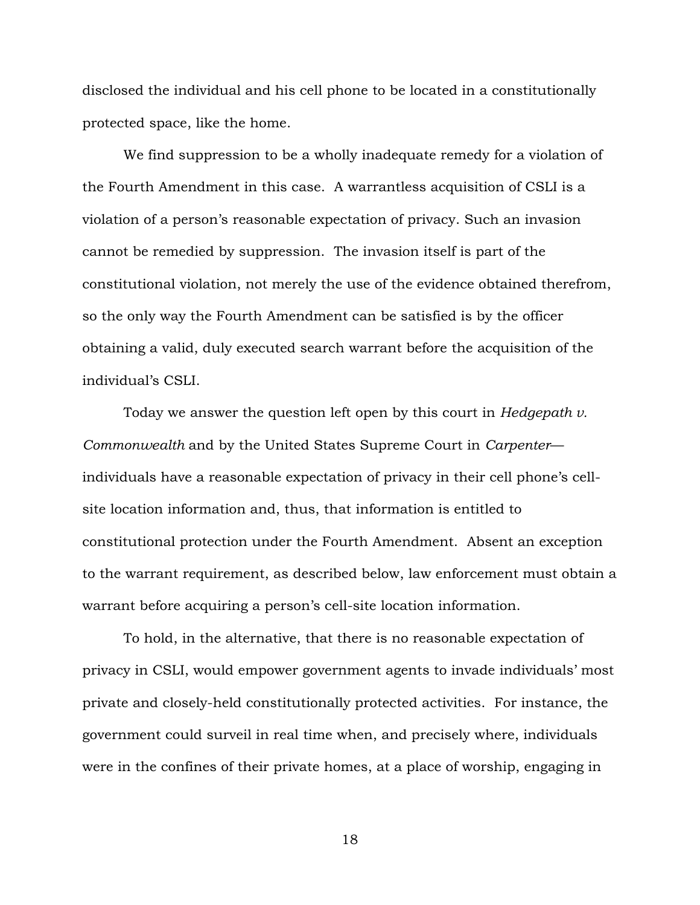disclosed the individual and his cell phone to be located in a constitutionally protected space, like the home.

We find suppression to be a wholly inadequate remedy for a violation of the Fourth Amendment in this case. A warrantless acquisition of CSLI is a violation of a person's reasonable expectation of privacy. Such an invasion cannot be remedied by suppression. The invasion itself is part of the constitutional violation, not merely the use of the evidence obtained therefrom, so the only way the Fourth Amendment can be satisfied is by the officer obtaining a valid, duly executed search warrant before the acquisition of the individual's CSLI.

Today we answer the question left open by this court in *Hedgepath v. Commonwealth* and by the United States Supreme Court in *Carpenter* individuals have a reasonable expectation of privacy in their cell phone's cellsite location information and, thus, that information is entitled to constitutional protection under the Fourth Amendment. Absent an exception to the warrant requirement, as described below, law enforcement must obtain a warrant before acquiring a person's cell-site location information.

To hold, in the alternative, that there is no reasonable expectation of privacy in CSLI, would empower government agents to invade individuals' most private and closely-held constitutionally protected activities. For instance, the government could surveil in real time when, and precisely where, individuals were in the confines of their private homes, at a place of worship, engaging in

18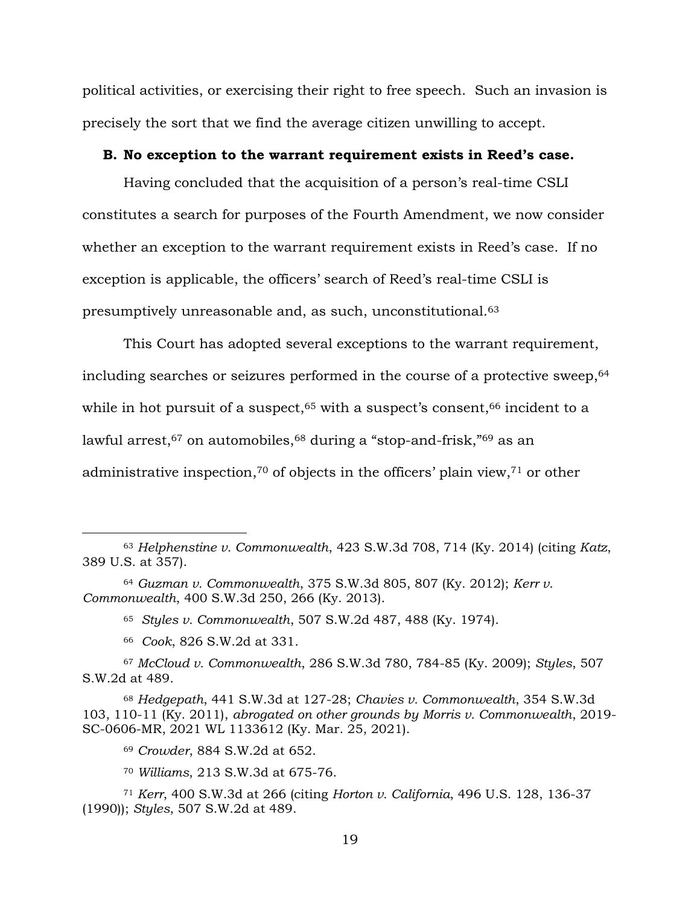political activities, or exercising their right to free speech. Such an invasion is precisely the sort that we find the average citizen unwilling to accept.

#### **B. No exception to the warrant requirement exists in Reed's case.**

Having concluded that the acquisition of a person's real-time CSLI constitutes a search for purposes of the Fourth Amendment, we now consider whether an exception to the warrant requirement exists in Reed's case. If no exception is applicable, the officers' search of Reed's real-time CSLI is presumptively unreasonable and, as such, unconstitutional.<sup>63</sup>

This Court has adopted several exceptions to the warrant requirement, including searches or seizures performed in the course of a protective sweep, <sup>64</sup> while in hot pursuit of a suspect,  $65$  with a suspect's consent,  $66$  incident to a lawful arrest,<sup>67</sup> on automobiles,<sup>68</sup> during a "stop-and-frisk,"<sup>69</sup> as an administrative inspection, <sup>70</sup> of objects in the officers' plain view, <sup>71</sup> or other

- <sup>65</sup> *Styles v. Commonwealth*, 507 S.W.2d 487, 488 (Ky. 1974).
- <sup>66</sup> *Cook*, 826 S.W.2d at 331.

<sup>67</sup> *McCloud v. Commonwealth*, 286 S.W.3d 780, 784-85 (Ky. 2009); *Styles*, 507 S.W.2d at 489.

<sup>68</sup> *Hedgepath*, 441 S.W.3d at 127-28; *Chavies v. Commonwealth*, 354 S.W.3d 103, 110-11 (Ky. 2011), *abrogated on other grounds by Morris v. Commonwealth*, 2019- SC-0606-MR, 2021 WL 1133612 (Ky. Mar. 25, 2021).

<sup>69</sup> *Crowder*, 884 S.W.2d at 652.

<sup>70</sup> *Williams*, 213 S.W.3d at 675-76.

<sup>63</sup> *Helphenstine v. Commonwealth*, 423 S.W.3d 708, 714 (Ky. 2014) (citing *Katz*, 389 U.S. at 357).

<sup>64</sup> *Guzman v. Commonwealth*, 375 S.W.3d 805, 807 (Ky. 2012); *Kerr v. Commonwealth*, 400 S.W.3d 250, 266 (Ky. 2013).

<sup>71</sup> *Kerr*, 400 S.W.3d at 266 (citing *Horton v. California*, 496 U.S. 128, 136-37 (1990)); *Styles*, 507 S.W.2d at 489.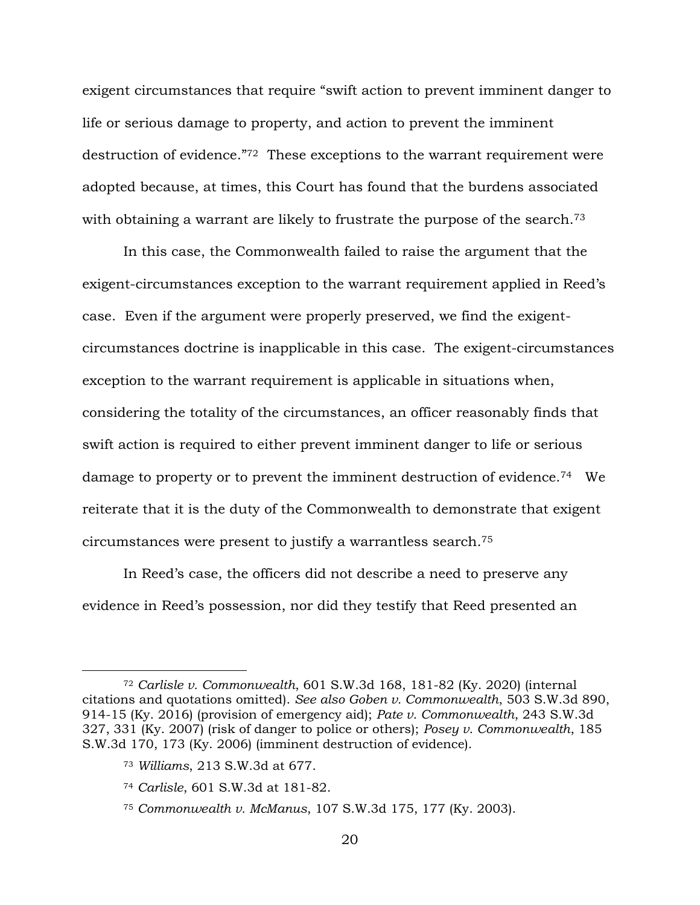exigent circumstances that require "swift action to prevent imminent danger to life or serious damage to property, and action to prevent the imminent destruction of evidence."72 These exceptions to the warrant requirement were adopted because, at times, this Court has found that the burdens associated with obtaining a warrant are likely to frustrate the purpose of the search.<sup>73</sup>

In this case, the Commonwealth failed to raise the argument that the exigent-circumstances exception to the warrant requirement applied in Reed's case. Even if the argument were properly preserved, we find the exigentcircumstances doctrine is inapplicable in this case. The exigent-circumstances exception to the warrant requirement is applicable in situations when, considering the totality of the circumstances, an officer reasonably finds that swift action is required to either prevent imminent danger to life or serious damage to property or to prevent the imminent destruction of evidence.<sup>74</sup> We reiterate that it is the duty of the Commonwealth to demonstrate that exigent circumstances were present to justify a warrantless search.<sup>75</sup>

In Reed's case, the officers did not describe a need to preserve any evidence in Reed's possession, nor did they testify that Reed presented an

<sup>72</sup> *Carlisle v. Commonwealth*, 601 S.W.3d 168, 181-82 (Ky. 2020) (internal citations and quotations omitted). *See also Goben v. Commonwealth*, 503 S.W.3d 890, 914-15 (Ky. 2016) (provision of emergency aid); *Pate v. Commonwealth*, 243 S.W.3d 327, 331 (Ky. 2007) (risk of danger to police or others); *Posey v. Commonwealth*, 185 S.W.3d 170, 173 (Ky. 2006) (imminent destruction of evidence).

<sup>73</sup> *Williams*, 213 S.W.3d at 677.

<sup>74</sup> *Carlisle*, 601 S.W.3d at 181-82.

<sup>75</sup> *Commonwealth v. McManus*, 107 S.W.3d 175, 177 (Ky. 2003).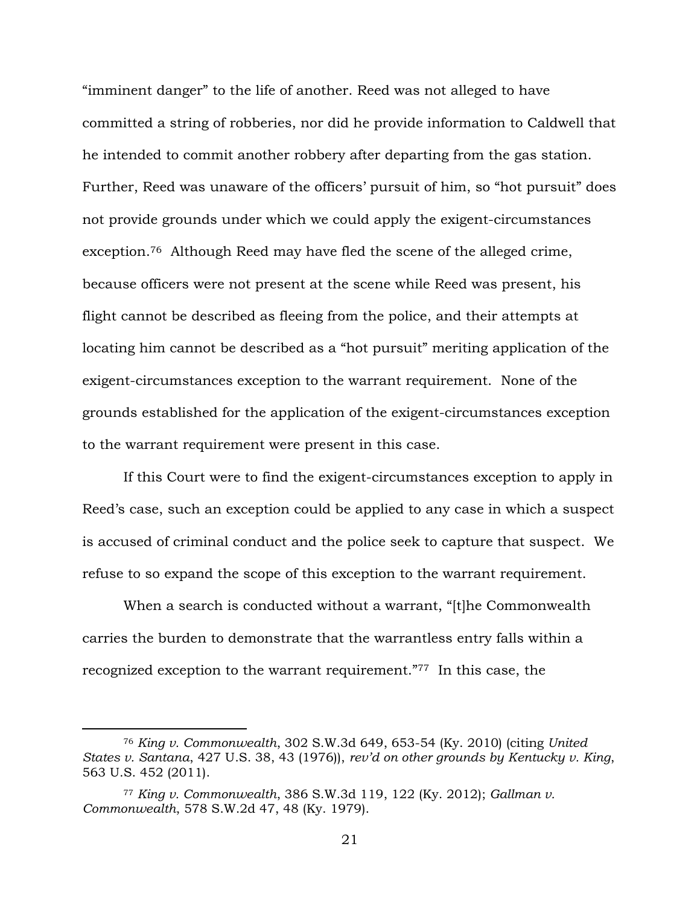"imminent danger" to the life of another. Reed was not alleged to have committed a string of robberies, nor did he provide information to Caldwell that he intended to commit another robbery after departing from the gas station. Further, Reed was unaware of the officers' pursuit of him, so "hot pursuit" does not provide grounds under which we could apply the exigent-circumstances exception. <sup>76</sup> Although Reed may have fled the scene of the alleged crime, because officers were not present at the scene while Reed was present, his flight cannot be described as fleeing from the police, and their attempts at locating him cannot be described as a "hot pursuit" meriting application of the exigent-circumstances exception to the warrant requirement. None of the grounds established for the application of the exigent-circumstances exception to the warrant requirement were present in this case.

If this Court were to find the exigent-circumstances exception to apply in Reed's case, such an exception could be applied to any case in which a suspect is accused of criminal conduct and the police seek to capture that suspect. We refuse to so expand the scope of this exception to the warrant requirement.

When a search is conducted without a warrant, "[t]he Commonwealth carries the burden to demonstrate that the warrantless entry falls within a recognized exception to the warrant requirement."<sup>77</sup> In this case, the

<sup>76</sup> *King v. Commonwealth*, 302 S.W.3d 649, 653-54 (Ky. 2010) (citing *United States v. Santana*, 427 U.S. 38, 43 (1976)), *rev'd on other grounds by Kentucky v. King*, 563 U.S. 452 (2011).

<sup>77</sup> *King v. Commonwealth*, 386 S.W.3d 119, 122 (Ky. 2012); *Gallman v. Commonwealth*, 578 S.W.2d 47, 48 (Ky. 1979).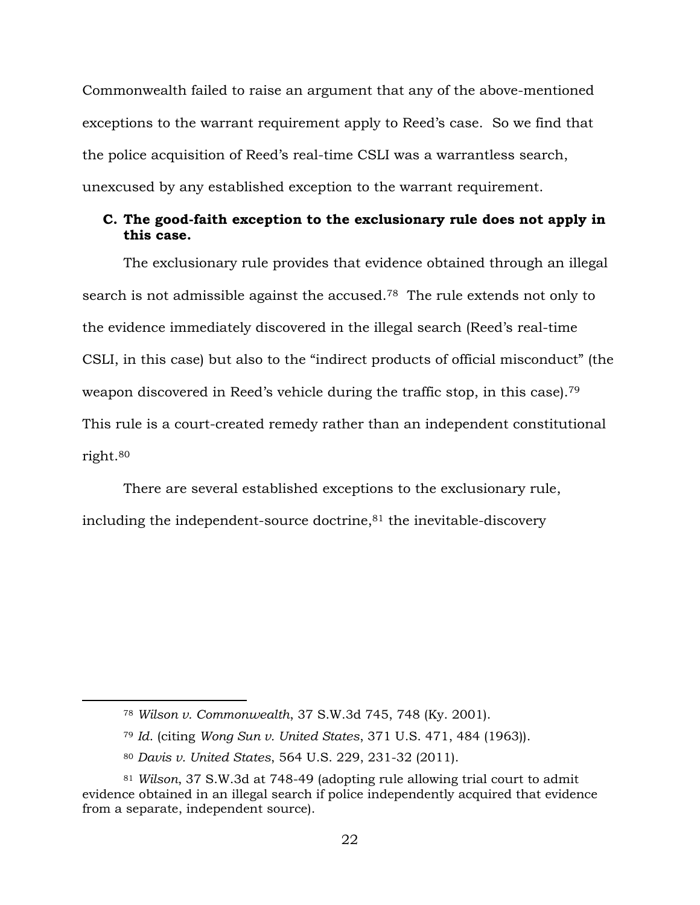Commonwealth failed to raise an argument that any of the above-mentioned exceptions to the warrant requirement apply to Reed's case. So we find that the police acquisition of Reed's real-time CSLI was a warrantless search, unexcused by any established exception to the warrant requirement.

## **C. The good-faith exception to the exclusionary rule does not apply in this case.**

The exclusionary rule provides that evidence obtained through an illegal search is not admissible against the accused.<sup>78</sup> The rule extends not only to the evidence immediately discovered in the illegal search (Reed's real-time CSLI, in this case) but also to the "indirect products of official misconduct" (the weapon discovered in Reed's vehicle during the traffic stop, in this case).<sup>79</sup> This rule is a court-created remedy rather than an independent constitutional right.<sup>80</sup>

There are several established exceptions to the exclusionary rule, including the independent-source doctrine,<sup>81</sup> the inevitable-discovery

<sup>78</sup> *Wilson v. Commonwealth*, 37 S.W.3d 745, 748 (Ky. 2001).

<sup>79</sup> *Id*. (citing *Wong Sun v. United States*, 371 U.S. 471, 484 (1963)).

<sup>80</sup> *Davis v. United States*, 564 U.S. 229, 231-32 (2011).

<sup>81</sup> *Wilson*, 37 S.W.3d at 748-49 (adopting rule allowing trial court to admit evidence obtained in an illegal search if police independently acquired that evidence from a separate, independent source).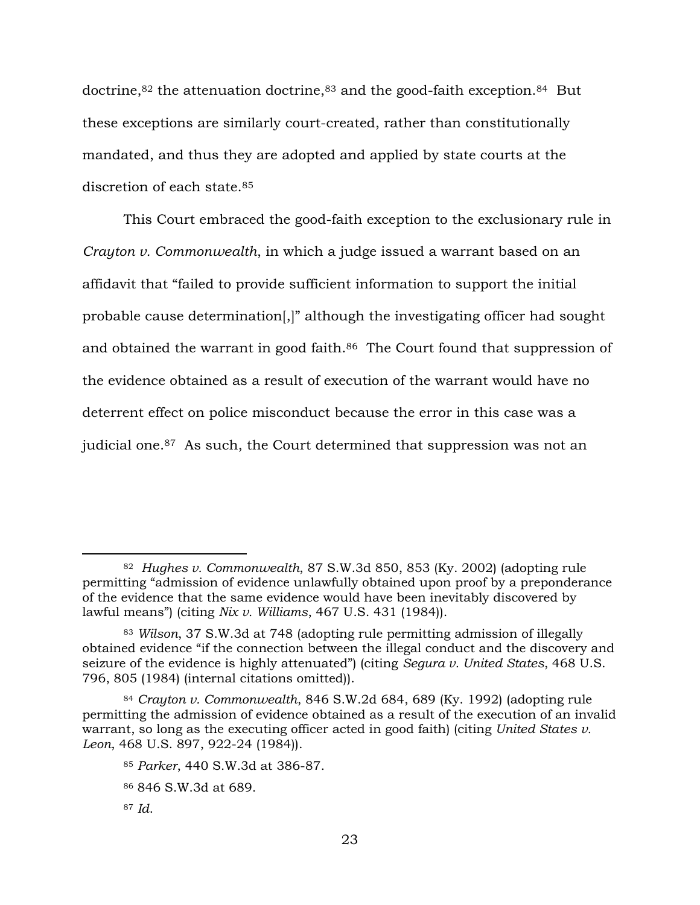doctrine,<sup>82</sup> the attenuation doctrine,<sup>83</sup> and the good-faith exception.<sup>84</sup> But these exceptions are similarly court-created, rather than constitutionally mandated, and thus they are adopted and applied by state courts at the discretion of each state.<sup>85</sup>

This Court embraced the good-faith exception to the exclusionary rule in *Crayton v. Commonwealth*, in which a judge issued a warrant based on an affidavit that "failed to provide sufficient information to support the initial probable cause determination[,]" although the investigating officer had sought and obtained the warrant in good faith.<sup>86</sup> The Court found that suppression of the evidence obtained as a result of execution of the warrant would have no deterrent effect on police misconduct because the error in this case was a judicial one.<sup>87</sup> As such, the Court determined that suppression was not an

<sup>82</sup> *Hughes v. Commonwealth*, 87 S.W.3d 850, 853 (Ky. 2002) (adopting rule permitting "admission of evidence unlawfully obtained upon proof by a preponderance of the evidence that the same evidence would have been inevitably discovered by lawful means") (citing *Nix v. Williams*, 467 U.S. 431 (1984)).

<sup>83</sup> *Wilson*, 37 S.W.3d at 748 (adopting rule permitting admission of illegally obtained evidence "if the connection between the illegal conduct and the discovery and seizure of the evidence is highly attenuated") (citing *Segura v. United States*, 468 U.S. 796, 805 (1984) (internal citations omitted)).

<sup>84</sup> *Crayton v. Commonwealth*, 846 S.W.2d 684, 689 (Ky. 1992) (adopting rule permitting the admission of evidence obtained as a result of the execution of an invalid warrant, so long as the executing officer acted in good faith) (citing *United States v. Leon*, 468 U.S. 897, 922-24 (1984)).

<sup>85</sup> *Parker*, 440 S.W.3d at 386-87.

<sup>86</sup> 846 S.W.3d at 689.

<sup>87</sup> *Id*.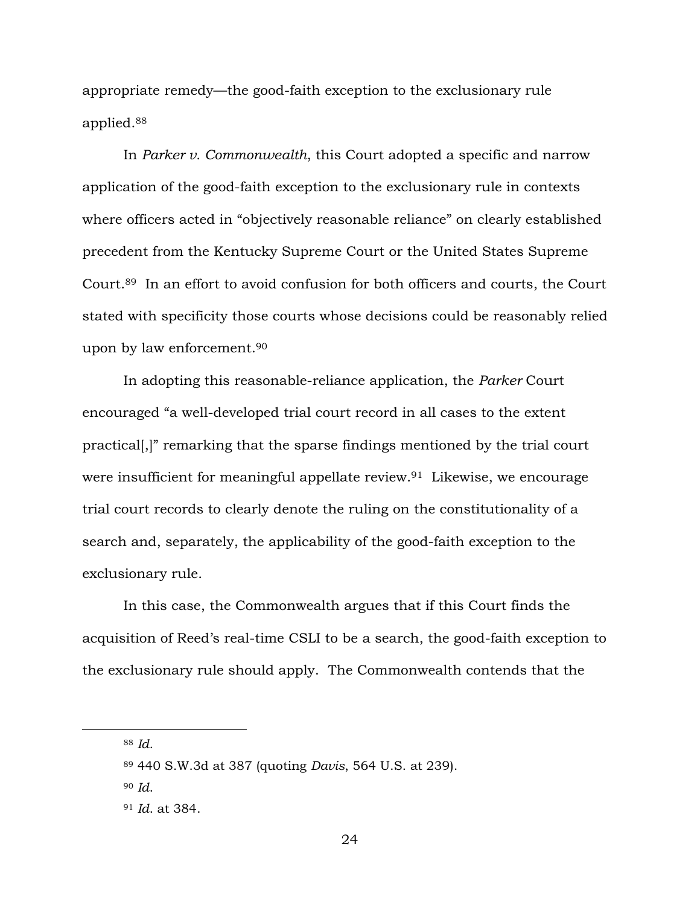appropriate remedy—the good-faith exception to the exclusionary rule applied.<sup>88</sup>

In *Parker v. Commonwealth*, this Court adopted a specific and narrow application of the good-faith exception to the exclusionary rule in contexts where officers acted in "objectively reasonable reliance" on clearly established precedent from the Kentucky Supreme Court or the United States Supreme Court.<sup>89</sup> In an effort to avoid confusion for both officers and courts, the Court stated with specificity those courts whose decisions could be reasonably relied upon by law enforcement.<sup>90</sup>

In adopting this reasonable-reliance application, the *Parker* Court encouraged "a well-developed trial court record in all cases to the extent practical[,]" remarking that the sparse findings mentioned by the trial court were insufficient for meaningful appellate review.<sup>91</sup> Likewise, we encourage trial court records to clearly denote the ruling on the constitutionality of a search and, separately, the applicability of the good-faith exception to the exclusionary rule.

In this case, the Commonwealth argues that if this Court finds the acquisition of Reed's real-time CSLI to be a search, the good-faith exception to the exclusionary rule should apply. The Commonwealth contends that the

<sup>88</sup> *Id*.

<sup>89</sup> 440 S.W.3d at 387 (quoting *Davis*, 564 U.S. at 239).

<sup>90</sup> *Id*.

<sup>91</sup> *Id*. at 384.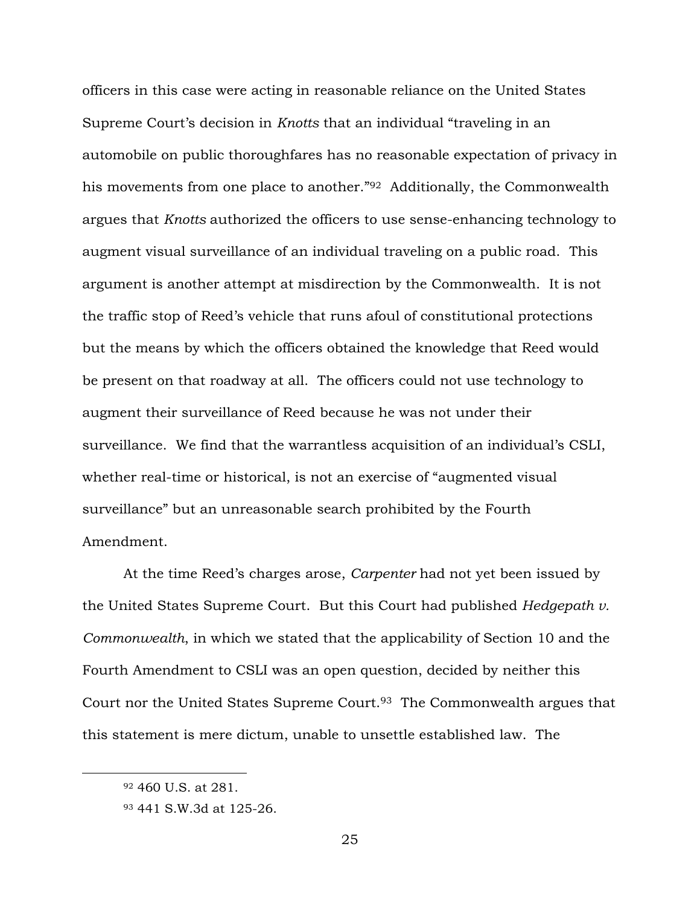officers in this case were acting in reasonable reliance on the United States Supreme Court's decision in *Knotts* that an individual "traveling in an automobile on public thoroughfares has no reasonable expectation of privacy in his movements from one place to another."<sup>92</sup> Additionally, the Commonwealth argues that *Knotts* authorized the officers to use sense-enhancing technology to augment visual surveillance of an individual traveling on a public road. This argument is another attempt at misdirection by the Commonwealth. It is not the traffic stop of Reed's vehicle that runs afoul of constitutional protections but the means by which the officers obtained the knowledge that Reed would be present on that roadway at all. The officers could not use technology to augment their surveillance of Reed because he was not under their surveillance. We find that the warrantless acquisition of an individual's CSLI, whether real-time or historical, is not an exercise of "augmented visual surveillance" but an unreasonable search prohibited by the Fourth Amendment.

At the time Reed's charges arose, *Carpenter* had not yet been issued by the United States Supreme Court. But this Court had published *Hedgepath v. Commonwealth*, in which we stated that the applicability of Section 10 and the Fourth Amendment to CSLI was an open question, decided by neither this Court nor the United States Supreme Court.<sup>93</sup> The Commonwealth argues that this statement is mere dictum, unable to unsettle established law. The

<sup>92</sup> 460 U.S. at 281.

<sup>93</sup> 441 S.W.3d at 125-26.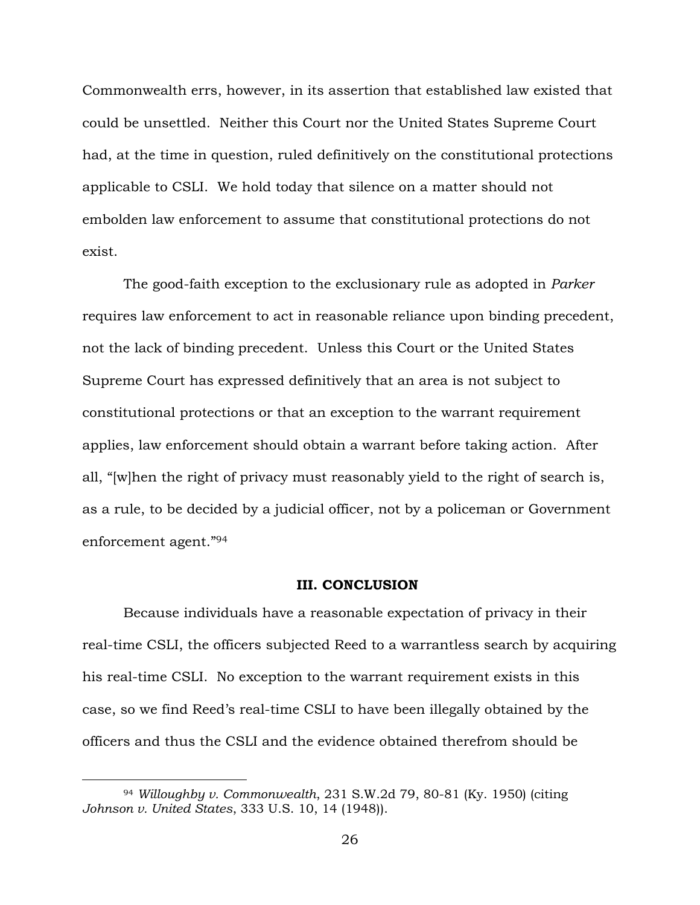Commonwealth errs, however, in its assertion that established law existed that could be unsettled. Neither this Court nor the United States Supreme Court had, at the time in question, ruled definitively on the constitutional protections applicable to CSLI. We hold today that silence on a matter should not embolden law enforcement to assume that constitutional protections do not exist.

The good-faith exception to the exclusionary rule as adopted in *Parker*  requires law enforcement to act in reasonable reliance upon binding precedent, not the lack of binding precedent. Unless this Court or the United States Supreme Court has expressed definitively that an area is not subject to constitutional protections or that an exception to the warrant requirement applies, law enforcement should obtain a warrant before taking action. After all, "[w]hen the right of privacy must reasonably yield to the right of search is, as a rule, to be decided by a judicial officer, not by a policeman or Government enforcement agent."<sup>94</sup>

### **III. CONCLUSION**

Because individuals have a reasonable expectation of privacy in their real-time CSLI, the officers subjected Reed to a warrantless search by acquiring his real-time CSLI. No exception to the warrant requirement exists in this case, so we find Reed's real-time CSLI to have been illegally obtained by the officers and thus the CSLI and the evidence obtained therefrom should be

<sup>94</sup> *Willoughby v. Commonwealth*, 231 S.W.2d 79, 80-81 (Ky. 1950) (citing *Johnson v. United States*, 333 U.S. 10, 14 (1948)).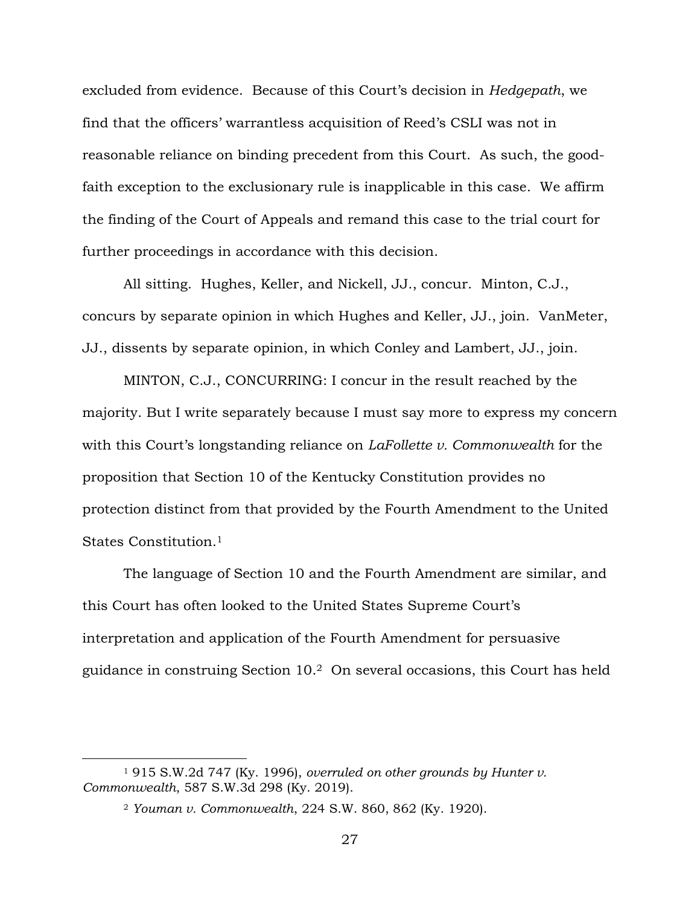excluded from evidence. Because of this Court's decision in *Hedgepath*, we find that the officers' warrantless acquisition of Reed's CSLI was not in reasonable reliance on binding precedent from this Court. As such, the goodfaith exception to the exclusionary rule is inapplicable in this case. We affirm the finding of the Court of Appeals and remand this case to the trial court for further proceedings in accordance with this decision.

All sitting. Hughes, Keller, and Nickell, JJ., concur. Minton, C.J., concurs by separate opinion in which Hughes and Keller, JJ., join. VanMeter, JJ., dissents by separate opinion, in which Conley and Lambert, JJ., join.

MINTON, C.J., CONCURRING: I concur in the result reached by the majority. But I write separately because I must say more to express my concern with this Court's longstanding reliance on *LaFollette v. Commonwealth* for the proposition that Section 10 of the Kentucky Constitution provides no protection distinct from that provided by the Fourth Amendment to the United States Constitution.<sup>1</sup>

The language of Section 10 and the Fourth Amendment are similar, and this Court has often looked to the United States Supreme Court's interpretation and application of the Fourth Amendment for persuasive guidance in construing Section 10.2 On several occasions, this Court has held

<sup>1</sup> 915 S.W.2d 747 (Ky. 1996), *overruled on other grounds by Hunter v. Commonwealth*, 587 S.W.3d 298 (Ky. 2019).

<sup>2</sup> *Youman v. Commonwealth*, 224 S.W. 860, 862 (Ky. 1920).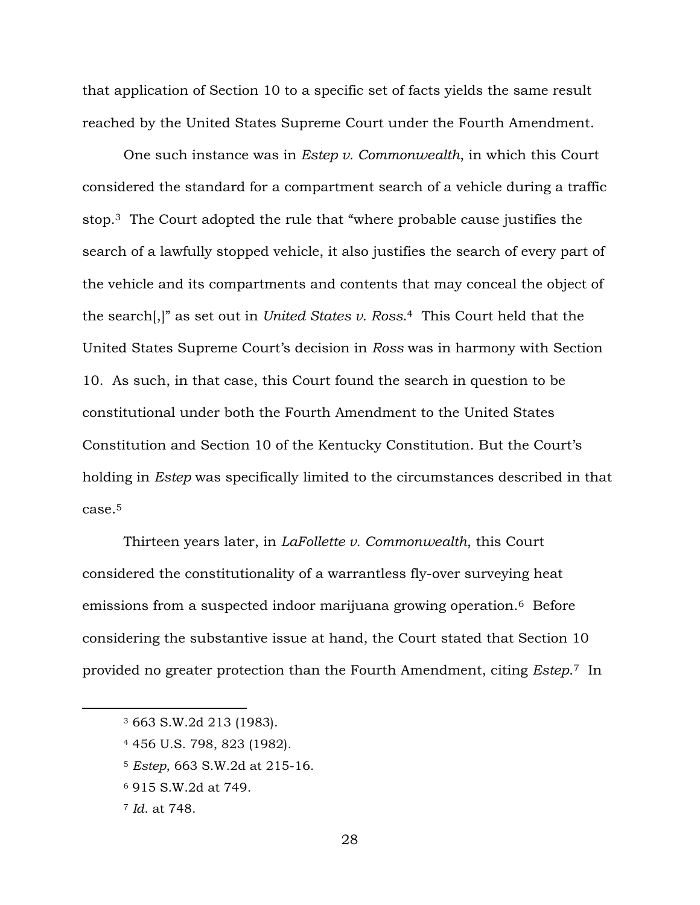that application of Section 10 to a specific set of facts yields the same result reached by the United States Supreme Court under the Fourth Amendment.

One such instance was in *Estep v. Commonwealth*, in which this Court considered the standard for a compartment search of a vehicle during a traffic stop.<sup>3</sup> The Court adopted the rule that "where probable cause justifies the search of a lawfully stopped vehicle, it also justifies the search of every part of the vehicle and its compartments and contents that may conceal the object of the search[,]" as set out in *United States v. Ross*. <sup>4</sup> This Court held that the United States Supreme Court's decision in *Ross* was in harmony with Section 10. As such, in that case, this Court found the search in question to be constitutional under both the Fourth Amendment to the United States Constitution and Section 10 of the Kentucky Constitution. But the Court's holding in *Estep* was specifically limited to the circumstances described in that case.<sup>5</sup>

Thirteen years later, in *LaFollette v. Commonwealth*, this Court considered the constitutionality of a warrantless fly-over surveying heat emissions from a suspected indoor marijuana growing operation.6 Before considering the substantive issue at hand, the Court stated that Section 10 provided no greater protection than the Fourth Amendment, citing *Estep*. <sup>7</sup> In

- <sup>5</sup> *Estep*, 663 S.W.2d at 215-16.
- <sup>6</sup> 915 S.W.2d at 749.
- <sup>7</sup> *Id*. at 748.

<sup>3</sup> 663 S.W.2d 213 (1983).

<sup>4</sup> 456 U.S. 798, 823 (1982).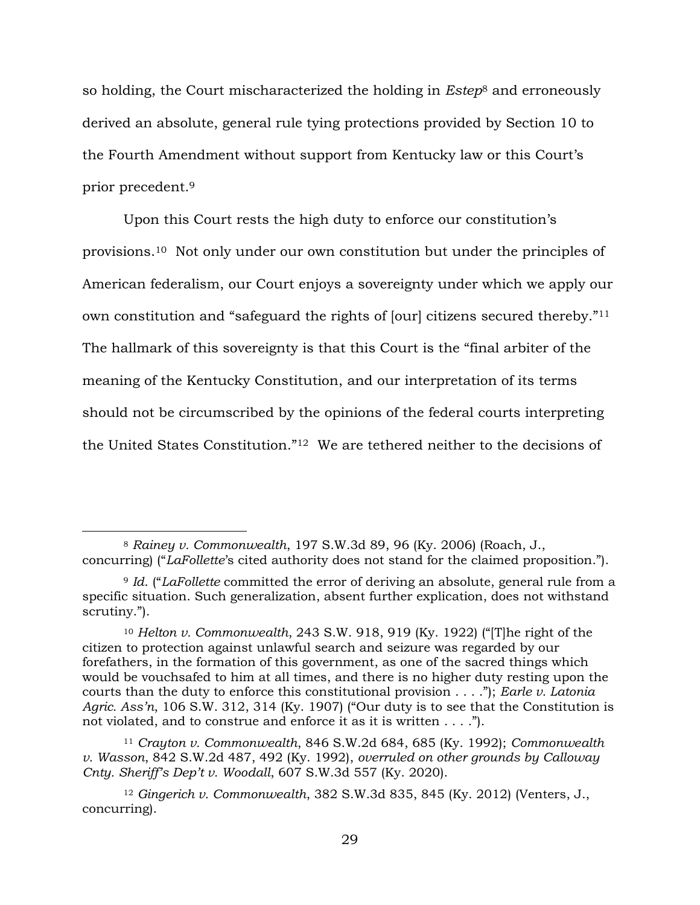so holding, the Court mischaracterized the holding in *Estep*<sup>8</sup> and erroneously derived an absolute, general rule tying protections provided by Section 10 to the Fourth Amendment without support from Kentucky law or this Court's prior precedent.<sup>9</sup>

Upon this Court rests the high duty to enforce our constitution's provisions.10 Not only under our own constitution but under the principles of American federalism, our Court enjoys a sovereignty under which we apply our own constitution and "safeguard the rights of [our] citizens secured thereby."<sup>11</sup> The hallmark of this sovereignty is that this Court is the "final arbiter of the meaning of the Kentucky Constitution, and our interpretation of its terms should not be circumscribed by the opinions of the federal courts interpreting the United States Constitution."12 We are tethered neither to the decisions of

<sup>8</sup> *Rainey v. Commonwealth*, 197 S.W.3d 89, 96 (Ky. 2006) (Roach, J., concurring) ("*LaFollette*'s cited authority does not stand for the claimed proposition.").

<sup>9</sup> *Id*. ("*LaFollette* committed the error of deriving an absolute, general rule from a specific situation. Such generalization, absent further explication, does not withstand scrutiny.").

<sup>10</sup> *Helton v. Commonwealth*, 243 S.W. 918, 919 (Ky. 1922) ("[T]he right of the citizen to protection against unlawful search and seizure was regarded by our forefathers, in the formation of this government, as one of the sacred things which would be vouchsafed to him at all times, and there is no higher duty resting upon the courts than the duty to enforce this constitutional provision . . . ."); *Earle v. Latonia Agric. Ass'n*, 106 S.W. 312, 314 (Ky. 1907) ("Our duty is to see that the Constitution is not violated, and to construe and enforce it as it is written . . . .").

<sup>11</sup> *Crayton v. Commonwealth*, 846 S.W.2d 684, 685 (Ky. 1992); *Commonwealth v. Wasson*, 842 S.W.2d 487, 492 (Ky. 1992), *overruled on other grounds by Calloway Cnty. Sheriff's Dep't v. Woodall*, 607 S.W.3d 557 (Ky. 2020).

<sup>12</sup> *Gingerich v. Commonwealth*, 382 S.W.3d 835, 845 (Ky. 2012) (Venters, J., concurring).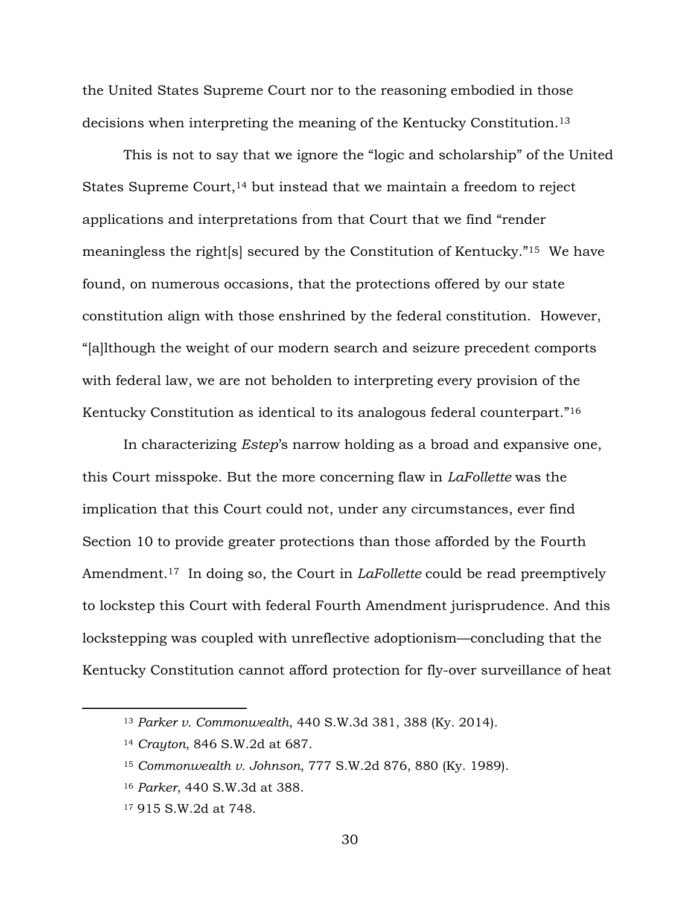the United States Supreme Court nor to the reasoning embodied in those decisions when interpreting the meaning of the Kentucky Constitution.<sup>13</sup>

This is not to say that we ignore the "logic and scholarship" of the United States Supreme Court,  $14$  but instead that we maintain a freedom to reject applications and interpretations from that Court that we find "render meaningless the right[s] secured by the Constitution of Kentucky."15 We have found, on numerous occasions, that the protections offered by our state constitution align with those enshrined by the federal constitution. However, "[a]lthough the weight of our modern search and seizure precedent comports with federal law, we are not beholden to interpreting every provision of the Kentucky Constitution as identical to its analogous federal counterpart."<sup>16</sup>

In characterizing *Estep*'s narrow holding as a broad and expansive one, this Court misspoke. But the more concerning flaw in *LaFollette* was the implication that this Court could not, under any circumstances, ever find Section 10 to provide greater protections than those afforded by the Fourth Amendment.17 In doing so, the Court in *LaFollette* could be read preemptively to lockstep this Court with federal Fourth Amendment jurisprudence. And this lockstepping was coupled with unreflective adoptionism—concluding that the Kentucky Constitution cannot afford protection for fly-over surveillance of heat

<sup>13</sup> *Parker v. Commonwealth*, 440 S.W.3d 381, 388 (Ky. 2014).

<sup>14</sup> *Crayton*, 846 S.W.2d at 687.

<sup>15</sup> *Commonwealth v. Johnson*, 777 S.W.2d 876, 880 (Ky. 1989).

<sup>16</sup> *Parker*, 440 S.W.3d at 388.

<sup>17</sup> 915 S.W.2d at 748.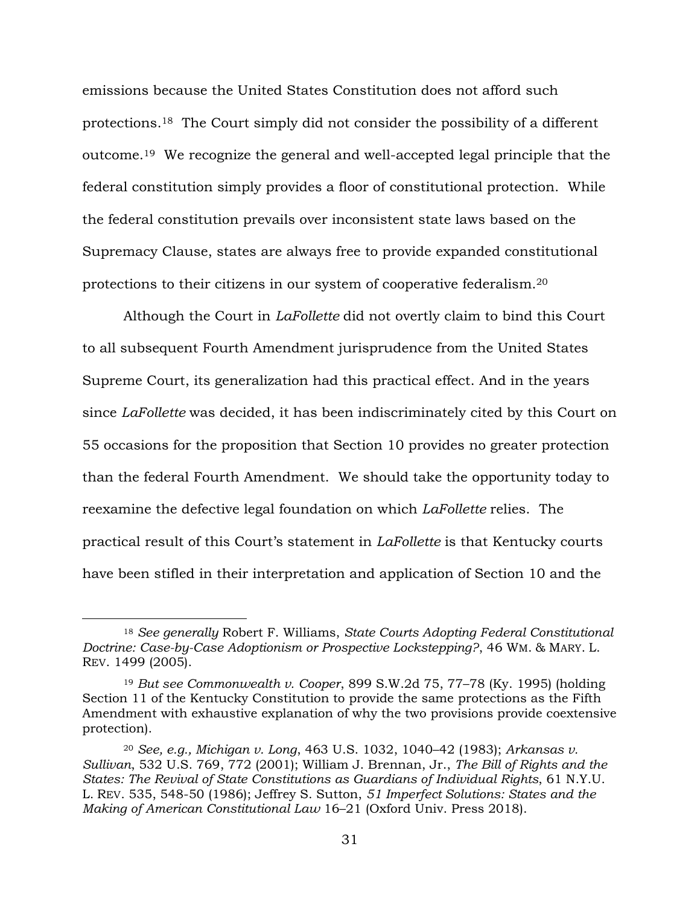emissions because the United States Constitution does not afford such protections.18 The Court simply did not consider the possibility of a different outcome.19 We recognize the general and well-accepted legal principle that the federal constitution simply provides a floor of constitutional protection. While the federal constitution prevails over inconsistent state laws based on the Supremacy Clause, states are always free to provide expanded constitutional protections to their citizens in our system of cooperative federalism.<sup>20</sup>

Although the Court in *LaFollette* did not overtly claim to bind this Court to all subsequent Fourth Amendment jurisprudence from the United States Supreme Court, its generalization had this practical effect. And in the years since *LaFollette* was decided, it has been indiscriminately cited by this Court on 55 occasions for the proposition that Section 10 provides no greater protection than the federal Fourth Amendment. We should take the opportunity today to reexamine the defective legal foundation on which *LaFollette* relies. The practical result of this Court's statement in *LaFollette* is that Kentucky courts have been stifled in their interpretation and application of Section 10 and the

<sup>18</sup> *See generally* Robert F. Williams, *State Courts Adopting Federal Constitutional Doctrine: Case-by-Case Adoptionism or Prospective Lockstepping?*, 46 WM. & MARY. L. REV. 1499 (2005).

<sup>19</sup> *But see Commonwealth v. Cooper*, 899 S.W.2d 75, 77–78 (Ky. 1995) (holding Section 11 of the Kentucky Constitution to provide the same protections as the Fifth Amendment with exhaustive explanation of why the two provisions provide coextensive protection).

<sup>20</sup> *See, e.g., Michigan v. Long*, 463 U.S. 1032, 1040–42 (1983); *Arkansas v. Sullivan*, 532 U.S. 769, 772 (2001); William J. Brennan, Jr., *The Bill of Rights and the States: The Revival of State Constitutions as Guardians of Individual Rights*, 61 N.Y.U. L. REV. 535, 548-50 (1986); Jeffrey S. Sutton, *51 Imperfect Solutions: States and the Making of American Constitutional Law* 16–21 (Oxford Univ. Press 2018).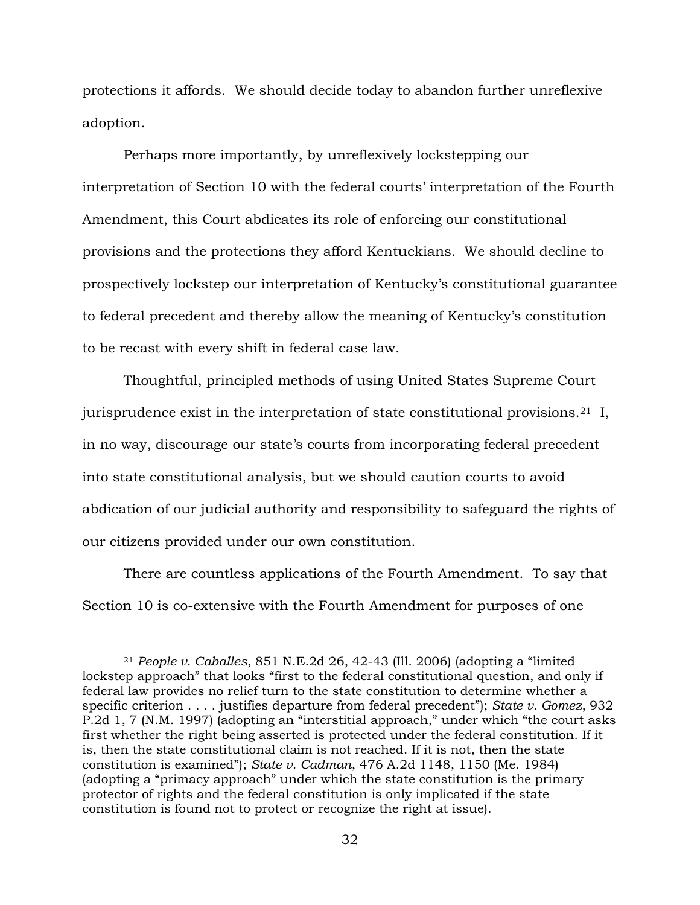protections it affords. We should decide today to abandon further unreflexive adoption.

Perhaps more importantly, by unreflexively lockstepping our interpretation of Section 10 with the federal courts' interpretation of the Fourth Amendment, this Court abdicates its role of enforcing our constitutional provisions and the protections they afford Kentuckians. We should decline to prospectively lockstep our interpretation of Kentucky's constitutional guarantee to federal precedent and thereby allow the meaning of Kentucky's constitution to be recast with every shift in federal case law.

Thoughtful, principled methods of using United States Supreme Court jurisprudence exist in the interpretation of state constitutional provisions.<sup>21</sup> I, in no way, discourage our state's courts from incorporating federal precedent into state constitutional analysis, but we should caution courts to avoid abdication of our judicial authority and responsibility to safeguard the rights of our citizens provided under our own constitution.

There are countless applications of the Fourth Amendment. To say that Section 10 is co-extensive with the Fourth Amendment for purposes of one

<sup>21</sup> *People v. Caballes*, 851 N.E.2d 26, 42-43 (Ill. 2006) (adopting a "limited lockstep approach" that looks "first to the federal constitutional question, and only if federal law provides no relief turn to the state constitution to determine whether a specific criterion . . . . justifies departure from federal precedent"); *State v. Gomez*, 932 P.2d 1, 7 (N.M. 1997) (adopting an "interstitial approach," under which "the court asks first whether the right being asserted is protected under the federal constitution. If it is, then the state constitutional claim is not reached. If it is not, then the state constitution is examined"); *State v. Cadman*, 476 A.2d 1148, 1150 (Me. 1984) (adopting a "primacy approach" under which the state constitution is the primary protector of rights and the federal constitution is only implicated if the state constitution is found not to protect or recognize the right at issue).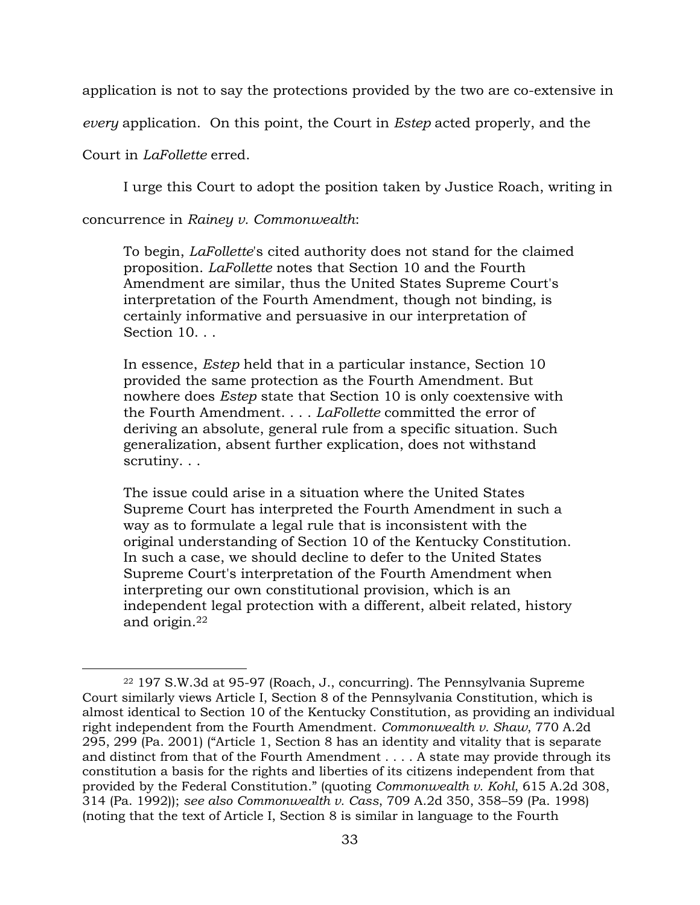application is not to say the protections provided by the two are co-extensive in

*every* application. On this point, the Court in *Estep* acted properly, and the

Court in *LaFollette* erred.

I urge this Court to adopt the position taken by Justice Roach, writing in

concurrence in *Rainey v. Commonwealth*:

To begin, *LaFollette*'s cited authority does not stand for the claimed proposition. *LaFollette* notes that Section 10 and the Fourth Amendment are similar, thus the United States Supreme Court's interpretation of the Fourth Amendment, though not binding, is certainly informative and persuasive in our interpretation of Section 10. . .

In essence, *Estep* held that in a particular instance, Section 10 provided the same protection as the Fourth Amendment. But nowhere does *Estep* state that Section 10 is only coextensive with the Fourth Amendment. . . . *LaFollette* committed the error of deriving an absolute, general rule from a specific situation. Such generalization, absent further explication, does not withstand scrutiny. . .

The issue could arise in a situation where the United States Supreme Court has interpreted the Fourth Amendment in such a way as to formulate a legal rule that is inconsistent with the original understanding of Section 10 of the Kentucky Constitution. In such a case, we should decline to defer to the United States Supreme Court's interpretation of the Fourth Amendment when interpreting our own constitutional provision, which is an independent legal protection with a different, albeit related, history and origin.<sup>22</sup>

<sup>22</sup> 197 S.W.3d at 95-97 (Roach, J., concurring). The Pennsylvania Supreme Court similarly views Article I, Section 8 of the Pennsylvania Constitution, which is almost identical to Section 10 of the Kentucky Constitution, as providing an individual right independent from the Fourth Amendment. *Commonwealth v. Shaw*, 770 A.2d 295, 299 (Pa. 2001) ("Article 1, Section 8 has an identity and vitality that is separate and distinct from that of the Fourth Amendment . . . . A state may provide through its constitution a basis for the rights and liberties of its citizens independent from that provided by the Federal Constitution." (quoting *Commonwealth v. Kohl*, 615 A.2d 308, 314 (Pa. 1992)); *see also Commonwealth v. Cass*, 709 A.2d 350, 358–59 (Pa. 1998) (noting that the text of Article I, Section 8 is similar in language to the Fourth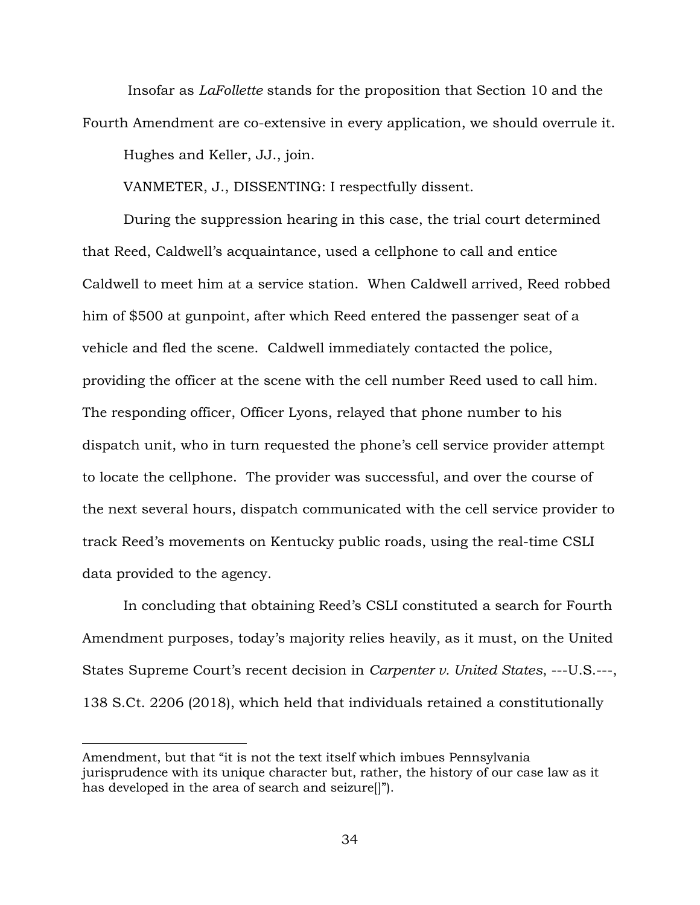Insofar as *LaFollette* stands for the proposition that Section 10 and the Fourth Amendment are co-extensive in every application, we should overrule it.

Hughes and Keller, JJ., join.

VANMETER, J., DISSENTING: I respectfully dissent.

During the suppression hearing in this case, the trial court determined that Reed, Caldwell's acquaintance, used a cellphone to call and entice Caldwell to meet him at a service station. When Caldwell arrived, Reed robbed him of \$500 at gunpoint, after which Reed entered the passenger seat of a vehicle and fled the scene. Caldwell immediately contacted the police, providing the officer at the scene with the cell number Reed used to call him. The responding officer, Officer Lyons, relayed that phone number to his dispatch unit, who in turn requested the phone's cell service provider attempt to locate the cellphone. The provider was successful, and over the course of the next several hours, dispatch communicated with the cell service provider to track Reed's movements on Kentucky public roads, using the real-time CSLI data provided to the agency.

In concluding that obtaining Reed's CSLI constituted a search for Fourth Amendment purposes, today's majority relies heavily, as it must, on the United States Supreme Court's recent decision in *Carpenter v. United States*, ---U.S.---, 138 S.Ct. 2206 (2018), which held that individuals retained a constitutionally

Amendment, but that "it is not the text itself which imbues Pennsylvania jurisprudence with its unique character but, rather, the history of our case law as it has developed in the area of search and seizure[]").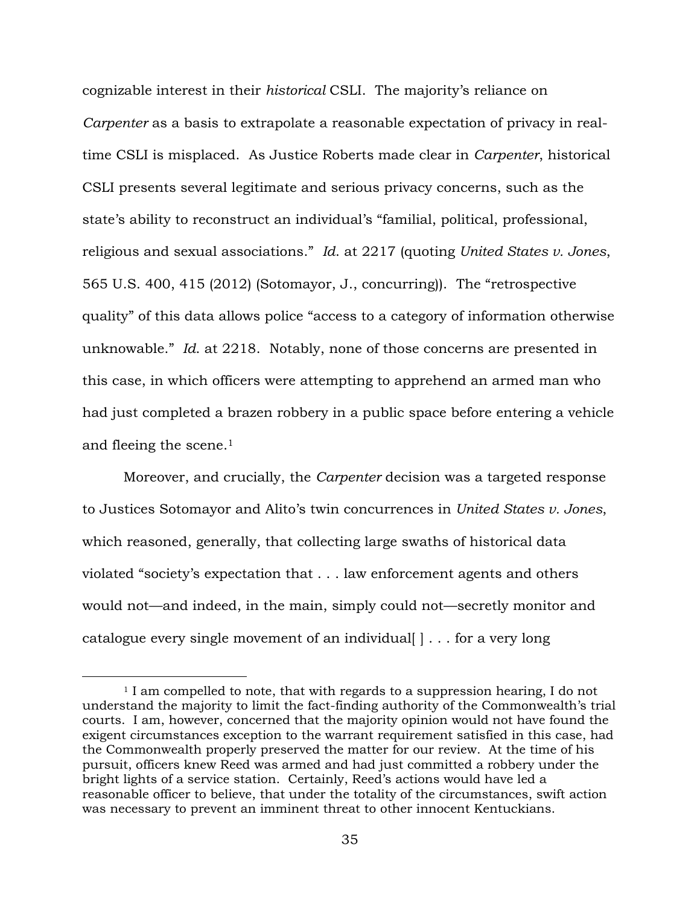cognizable interest in their *historical* CSLI. The majority's reliance on *Carpenter* as a basis to extrapolate a reasonable expectation of privacy in realtime CSLI is misplaced. As Justice Roberts made clear in *Carpenter*, historical CSLI presents several legitimate and serious privacy concerns, such as the state's ability to reconstruct an individual's "familial, political, professional, religious and sexual associations." *Id*. at 2217 (quoting *United States v. Jones*, 565 U.S. 400, 415 (2012) (Sotomayor, J., concurring)). The "retrospective quality" of this data allows police "access to a category of information otherwise unknowable." *Id*. at 2218. Notably, none of those concerns are presented in this case, in which officers were attempting to apprehend an armed man who had just completed a brazen robbery in a public space before entering a vehicle and fleeing the scene.<sup>1</sup>

Moreover, and crucially, the *Carpenter* decision was a targeted response to Justices Sotomayor and Alito's twin concurrences in *United States v. Jones*, which reasoned, generally, that collecting large swaths of historical data violated "society's expectation that . . . law enforcement agents and others would not—and indeed, in the main, simply could not—secretly monitor and catalogue every single movement of an individual  $| \cdot |$ ... for a very long

<sup>&</sup>lt;sup>1</sup> I am compelled to note, that with regards to a suppression hearing, I do not understand the majority to limit the fact-finding authority of the Commonwealth's trial courts. I am, however, concerned that the majority opinion would not have found the exigent circumstances exception to the warrant requirement satisfied in this case, had the Commonwealth properly preserved the matter for our review. At the time of his pursuit, officers knew Reed was armed and had just committed a robbery under the bright lights of a service station. Certainly, Reed's actions would have led a reasonable officer to believe, that under the totality of the circumstances, swift action was necessary to prevent an imminent threat to other innocent Kentuckians.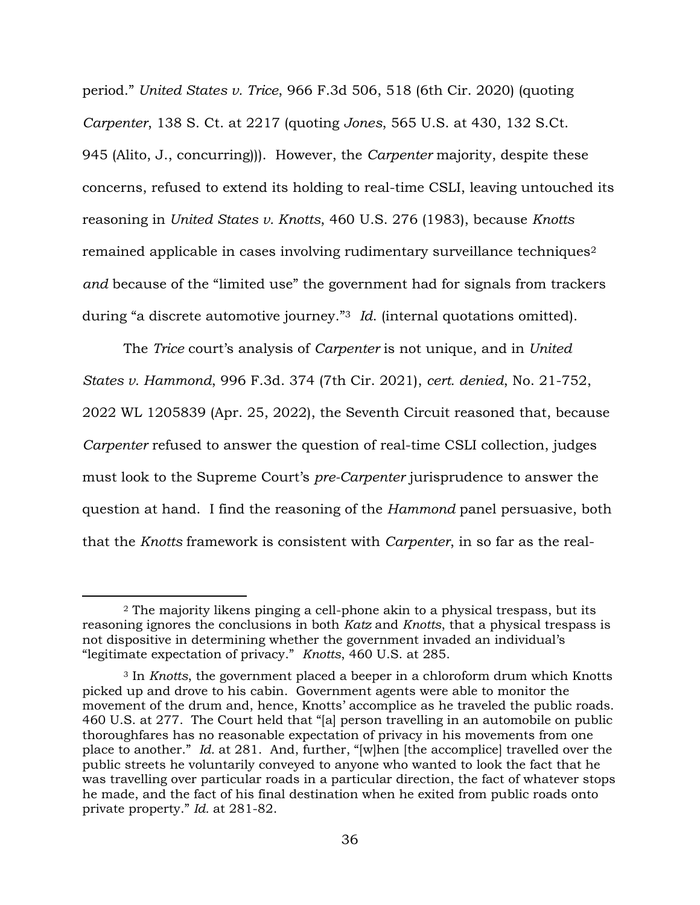period." *United States v. Trice*, 966 F.3d 506, 518 (6th Cir. 2020) (quoting *Carpenter*, 138 S. Ct. at 2217 (quoting *Jones*, 565 U.S. at 430, 132 S.Ct. 945 (Alito, J., concurring))). However, the *Carpenter* majority, despite these concerns, refused to extend its holding to real-time CSLI, leaving untouched its reasoning in *United States v. Knotts*, 460 U.S. 276 (1983), because *Knotts* remained applicable in cases involving rudimentary surveillance techniques<sup>2</sup> *and* because of the "limited use" the government had for signals from trackers during "a discrete automotive journey."<sup>3</sup> *Id*. (internal quotations omitted).

The *Trice* court's analysis of *Carpenter* is not unique, and in *United States v. Hammond*, 996 F.3d. 374 (7th Cir. 2021), *cert. denied*, No. 21-752, 2022 WL 1205839 (Apr. 25, 2022), the Seventh Circuit reasoned that, because *Carpenter* refused to answer the question of real-time CSLI collection, judges must look to the Supreme Court's *pre-Carpenter* jurisprudence to answer the question at hand. I find the reasoning of the *Hammond* panel persuasive, both that the *Knotts* framework is consistent with *Carpenter*, in so far as the real-

<sup>2</sup> The majority likens pinging a cell-phone akin to a physical trespass, but its reasoning ignores the conclusions in both *Katz* and *Knotts*, that a physical trespass is not dispositive in determining whether the government invaded an individual's "legitimate expectation of privacy." *Knotts*, 460 U.S. at 285.

<sup>3</sup> In *Knotts*, the government placed a beeper in a chloroform drum which Knotts picked up and drove to his cabin. Government agents were able to monitor the movement of the drum and, hence, Knotts' accomplice as he traveled the public roads. 460 U.S. at 277.The Court held that "[a] person travelling in an automobile on public thoroughfares has no reasonable expectation of privacy in his movements from one place to another." *Id.* at 281. And, further, "[w]hen [the accomplice] travelled over the public streets he voluntarily conveyed to anyone who wanted to look the fact that he was travelling over particular roads in a particular direction, the fact of whatever stops he made, and the fact of his final destination when he exited from public roads onto private property." *Id.* at 281-82.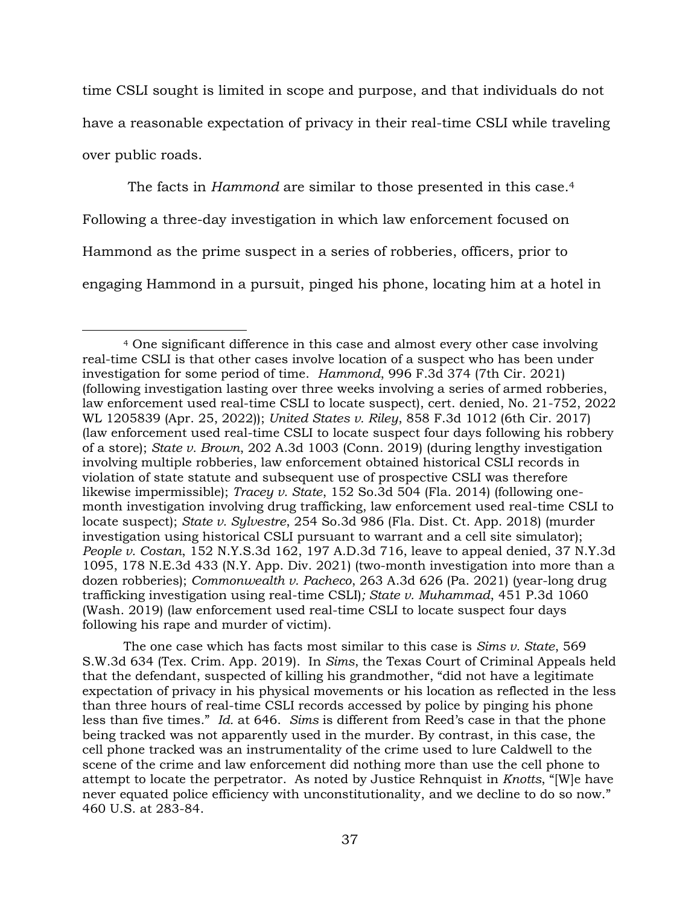time CSLI sought is limited in scope and purpose, and that individuals do not have a reasonable expectation of privacy in their real-time CSLI while traveling over public roads.

The facts in *Hammond* are similar to those presented in this case.<sup>4</sup> Following a three-day investigation in which law enforcement focused on Hammond as the prime suspect in a series of robberies, officers, prior to engaging Hammond in a pursuit, pinged his phone, locating him at a hotel in

The one case which has facts most similar to this case is *Sims v. State*, 569 S.W.3d 634 (Tex. Crim. App. 2019). In *Sims*, the Texas Court of Criminal Appeals held that the defendant, suspected of killing his grandmother, "did not have a legitimate expectation of privacy in his physical movements or his location as reflected in the less than three hours of real-time CSLI records accessed by police by pinging his phone less than five times." *Id.* at 646. *Sims* is different from Reed's case in that the phone being tracked was not apparently used in the murder. By contrast, in this case, the cell phone tracked was an instrumentality of the crime used to lure Caldwell to the scene of the crime and law enforcement did nothing more than use the cell phone to attempt to locate the perpetrator. As noted by Justice Rehnquist in *Knotts*, "[W]e have never equated police efficiency with unconstitutionality, and we decline to do so now." 460 U.S. at 283-84.

<sup>4</sup> One significant difference in this case and almost every other case involving real-time CSLI is that other cases involve location of a suspect who has been under investigation for some period of time. *Hammond*, 996 F.3d 374 (7th Cir. 2021) (following investigation lasting over three weeks involving a series of armed robberies, law enforcement used real-time CSLI to locate suspect), cert. denied, No. 21-752, 2022 WL 1205839 (Apr. 25, 2022)); *United States v. Riley*, 858 F.3d 1012 (6th Cir. 2017) (law enforcement used real-time CSLI to locate suspect four days following his robbery of a store); *State v. Brown*, 202 A.3d 1003 (Conn. 2019) (during lengthy investigation involving multiple robberies, law enforcement obtained historical CSLI records in violation of state statute and subsequent use of prospective CSLI was therefore likewise impermissible); *Tracey v. State*, 152 So.3d 504 (Fla. 2014) (following onemonth investigation involving drug trafficking, law enforcement used real-time CSLI to locate suspect); *State v. Sylvestre*, 254 So.3d 986 (Fla. Dist. Ct. App. 2018) (murder investigation using historical CSLI pursuant to warrant and a cell site simulator); *People v. Costan*, 152 N.Y.S.3d 162, 197 A.D.3d 716, leave to appeal denied, 37 N.Y.3d 1095, 178 N.E.3d 433 (N.Y. App. Div. 2021) (two-month investigation into more than a dozen robberies); *Commonwealth v. Pacheco*, 263 A.3d 626 (Pa. 2021) (year-long drug trafficking investigation using real-time CSLI)*; State v. Muhammad*, 451 P.3d 1060 (Wash. 2019) (law enforcement used real-time CSLI to locate suspect four days following his rape and murder of victim).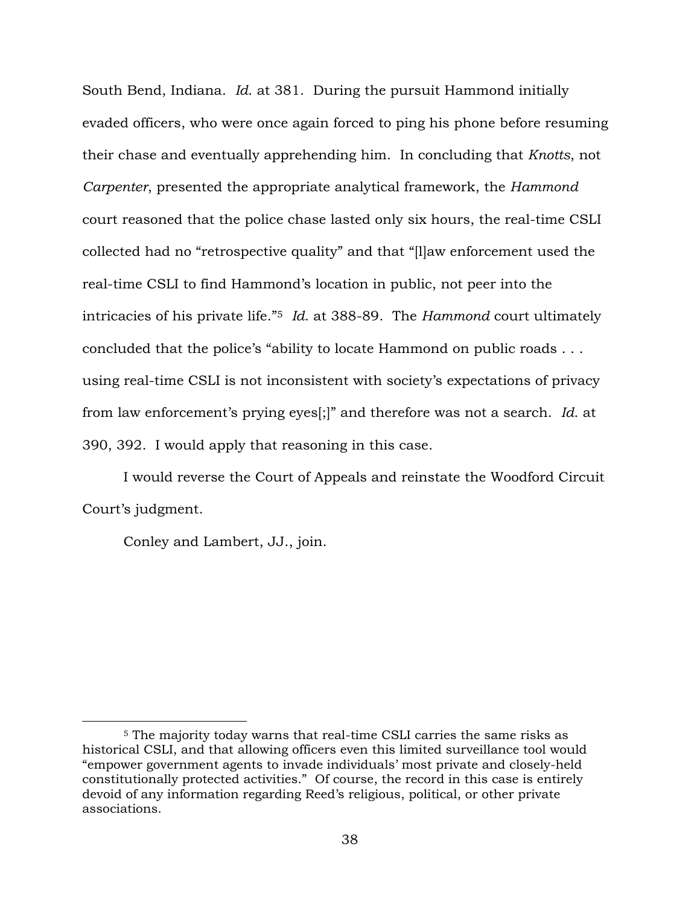South Bend, Indiana. *Id*. at 381. During the pursuit Hammond initially evaded officers, who were once again forced to ping his phone before resuming their chase and eventually apprehending him. In concluding that *Knotts*, not *Carpenter*, presented the appropriate analytical framework, the *Hammond* court reasoned that the police chase lasted only six hours, the real-time CSLI collected had no "retrospective quality" and that "[l]aw enforcement used the real-time CSLI to find Hammond's location in public, not peer into the intricacies of his private life."<sup>5</sup> *Id*. at 388-89. The *Hammond* court ultimately concluded that the police's "ability to locate Hammond on public roads . . . using real-time CSLI is not inconsistent with society's expectations of privacy from law enforcement's prying eyes[;]" and therefore was not a search. *Id*. at 390, 392. I would apply that reasoning in this case.

I would reverse the Court of Appeals and reinstate the Woodford Circuit Court's judgment.

Conley and Lambert, JJ., join.

<sup>5</sup> The majority today warns that real-time CSLI carries the same risks as historical CSLI, and that allowing officers even this limited surveillance tool would "empower government agents to invade individuals' most private and closely-held constitutionally protected activities." Of course, the record in this case is entirely devoid of any information regarding Reed's religious, political, or other private associations.